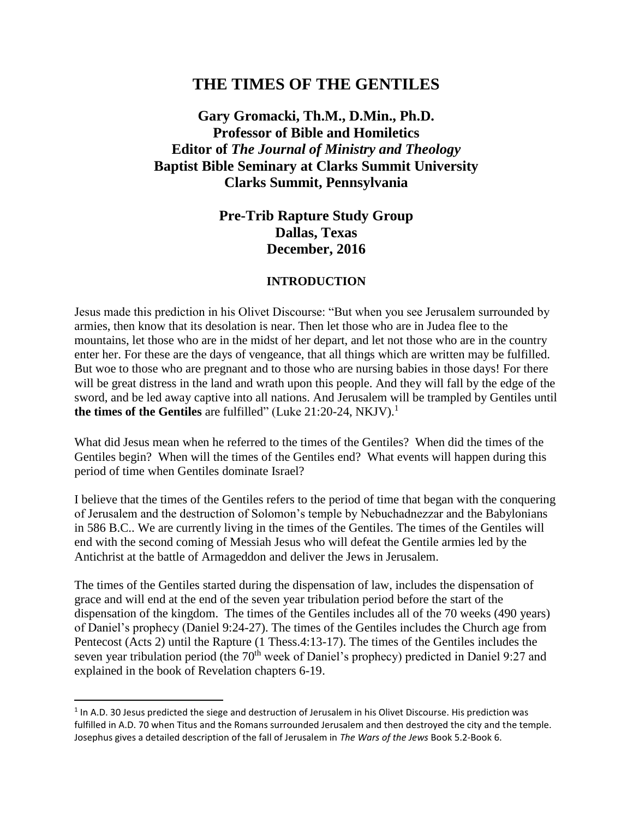# **THE TIMES OF THE GENTILES**

# **Gary Gromacki, Th.M., D.Min., Ph.D. Professor of Bible and Homiletics Editor of** *The Journal of Ministry and Theology* **Baptist Bible Seminary at Clarks Summit University Clarks Summit, Pennsylvania**

# **Pre-Trib Rapture Study Group Dallas, Texas December, 2016**

#### **INTRODUCTION**

Jesus made this prediction in his Olivet Discourse: "But when you see Jerusalem surrounded by armies, then know that its desolation is near. Then let those who are in Judea flee to the mountains, let those who are in the midst of her depart, and let not those who are in the country enter her. For these are the days of vengeance, that all things which are written may be fulfilled. But woe to those who are pregnant and to those who are nursing babies in those days! For there will be great distress in the land and wrath upon this people. And they will fall by the edge of the sword, and be led away captive into all nations. And Jerusalem will be trampled by Gentiles until **the times of the Gentiles** are fulfilled" (Luke 21:20-24, NKJV).<sup>1</sup>

What did Jesus mean when he referred to the times of the Gentiles? When did the times of the Gentiles begin? When will the times of the Gentiles end? What events will happen during this period of time when Gentiles dominate Israel?

I believe that the times of the Gentiles refers to the period of time that began with the conquering of Jerusalem and the destruction of Solomon's temple by Nebuchadnezzar and the Babylonians in 586 B.C.. We are currently living in the times of the Gentiles. The times of the Gentiles will end with the second coming of Messiah Jesus who will defeat the Gentile armies led by the Antichrist at the battle of Armageddon and deliver the Jews in Jerusalem.

The times of the Gentiles started during the dispensation of law, includes the dispensation of grace and will end at the end of the seven year tribulation period before the start of the dispensation of the kingdom. The times of the Gentiles includes all of the 70 weeks (490 years) of Daniel's prophecy (Daniel 9:24-27). The times of the Gentiles includes the Church age from Pentecost (Acts 2) until the Rapture (1 Thess.4:13-17). The times of the Gentiles includes the seven year tribulation period (the  $70<sup>th</sup>$  week of Daniel's prophecy) predicted in Daniel 9:27 and explained in the book of Revelation chapters 6-19.

 $1$  In A.D. 30 Jesus predicted the siege and destruction of Jerusalem in his Olivet Discourse. His prediction was fulfilled in A.D. 70 when Titus and the Romans surrounded Jerusalem and then destroyed the city and the temple. Josephus gives a detailed description of the fall of Jerusalem in *The Wars of the Jews* Book 5.2-Book 6.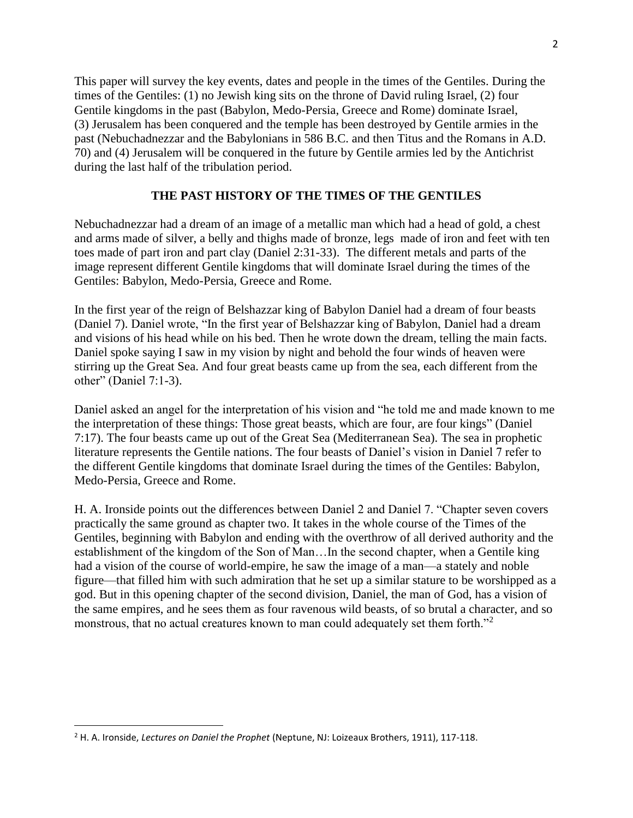This paper will survey the key events, dates and people in the times of the Gentiles. During the times of the Gentiles: (1) no Jewish king sits on the throne of David ruling Israel, (2) four Gentile kingdoms in the past (Babylon, Medo-Persia, Greece and Rome) dominate Israel, (3) Jerusalem has been conquered and the temple has been destroyed by Gentile armies in the past (Nebuchadnezzar and the Babylonians in 586 B.C. and then Titus and the Romans in A.D. 70) and (4) Jerusalem will be conquered in the future by Gentile armies led by the Antichrist during the last half of the tribulation period.

#### **THE PAST HISTORY OF THE TIMES OF THE GENTILES**

Nebuchadnezzar had a dream of an image of a metallic man which had a head of gold, a chest and arms made of silver, a belly and thighs made of bronze, legs made of iron and feet with ten toes made of part iron and part clay (Daniel 2:31-33). The different metals and parts of the image represent different Gentile kingdoms that will dominate Israel during the times of the Gentiles: Babylon, Medo-Persia, Greece and Rome.

In the first year of the reign of Belshazzar king of Babylon Daniel had a dream of four beasts (Daniel 7). Daniel wrote, "In the first year of Belshazzar king of Babylon, Daniel had a dream and visions of his head while on his bed. Then he wrote down the dream, telling the main facts. Daniel spoke saying I saw in my vision by night and behold the four winds of heaven were stirring up the Great Sea. And four great beasts came up from the sea, each different from the other" (Daniel 7:1-3).

Daniel asked an angel for the interpretation of his vision and "he told me and made known to me the interpretation of these things: Those great beasts, which are four, are four kings" (Daniel 7:17). The four beasts came up out of the Great Sea (Mediterranean Sea). The sea in prophetic literature represents the Gentile nations. The four beasts of Daniel's vision in Daniel 7 refer to the different Gentile kingdoms that dominate Israel during the times of the Gentiles: Babylon, Medo-Persia, Greece and Rome.

H. A. Ironside points out the differences between Daniel 2 and Daniel 7. "Chapter seven covers practically the same ground as chapter two. It takes in the whole course of the Times of the Gentiles, beginning with Babylon and ending with the overthrow of all derived authority and the establishment of the kingdom of the Son of Man…In the second chapter, when a Gentile king had a vision of the course of world-empire, he saw the image of a man—a stately and noble figure—that filled him with such admiration that he set up a similar stature to be worshipped as a god. But in this opening chapter of the second division, Daniel, the man of God, has a vision of the same empires, and he sees them as four ravenous wild beasts, of so brutal a character, and so monstrous, that no actual creatures known to man could adequately set them forth."<sup>2</sup>

<sup>2</sup> H. A. Ironside, *Lectures on Daniel the Prophet* (Neptune, NJ: Loizeaux Brothers, 1911), 117-118.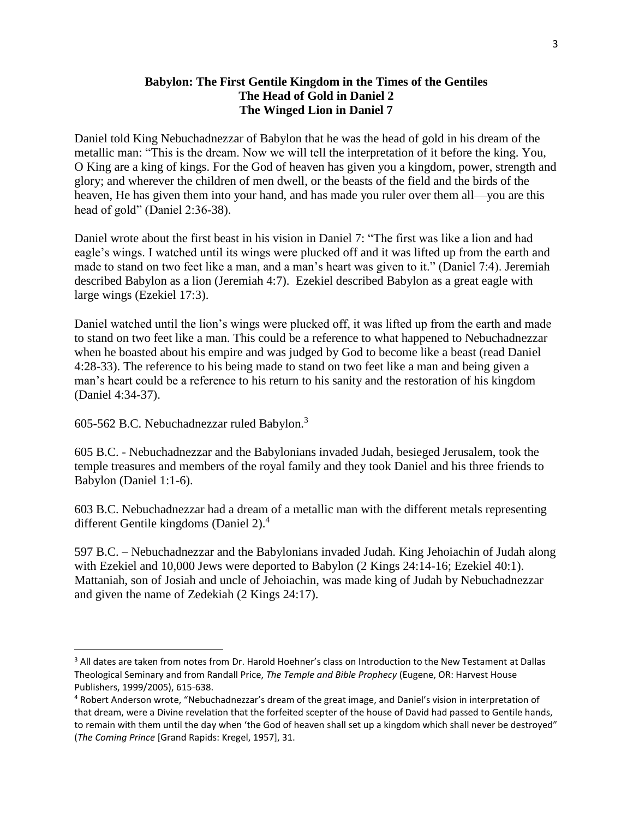#### **Babylon: The First Gentile Kingdom in the Times of the Gentiles The Head of Gold in Daniel 2 The Winged Lion in Daniel 7**

Daniel told King Nebuchadnezzar of Babylon that he was the head of gold in his dream of the metallic man: "This is the dream. Now we will tell the interpretation of it before the king. You, O King are a king of kings. For the God of heaven has given you a kingdom, power, strength and glory; and wherever the children of men dwell, or the beasts of the field and the birds of the heaven, He has given them into your hand, and has made you ruler over them all—you are this head of gold" (Daniel 2:36-38).

Daniel wrote about the first beast in his vision in Daniel 7: "The first was like a lion and had eagle's wings. I watched until its wings were plucked off and it was lifted up from the earth and made to stand on two feet like a man, and a man's heart was given to it." (Daniel 7:4). Jeremiah described Babylon as a lion (Jeremiah 4:7). Ezekiel described Babylon as a great eagle with large wings (Ezekiel 17:3).

Daniel watched until the lion's wings were plucked off, it was lifted up from the earth and made to stand on two feet like a man. This could be a reference to what happened to Nebuchadnezzar when he boasted about his empire and was judged by God to become like a beast (read Daniel 4:28-33). The reference to his being made to stand on two feet like a man and being given a man's heart could be a reference to his return to his sanity and the restoration of his kingdom (Daniel 4:34-37).

605-562 B.C. Nebuchadnezzar ruled Babylon.<sup>3</sup>

 $\overline{\phantom{a}}$ 

605 B.C. - Nebuchadnezzar and the Babylonians invaded Judah, besieged Jerusalem, took the temple treasures and members of the royal family and they took Daniel and his three friends to Babylon (Daniel 1:1-6).

603 B.C. Nebuchadnezzar had a dream of a metallic man with the different metals representing different Gentile kingdoms (Daniel 2). 4

597 B.C. – Nebuchadnezzar and the Babylonians invaded Judah. King Jehoiachin of Judah along with Ezekiel and 10,000 Jews were deported to Babylon (2 Kings 24:14-16; Ezekiel 40:1). Mattaniah, son of Josiah and uncle of Jehoiachin, was made king of Judah by Nebuchadnezzar and given the name of Zedekiah (2 Kings 24:17).

<sup>&</sup>lt;sup>3</sup> All dates are taken from notes from Dr. Harold Hoehner's class on Introduction to the New Testament at Dallas Theological Seminary and from Randall Price, *The Temple and Bible Prophecy* (Eugene, OR: Harvest House Publishers, 1999/2005), 615-638.

<sup>4</sup> Robert Anderson wrote, "Nebuchadnezzar's dream of the great image, and Daniel's vision in interpretation of that dream, were a Divine revelation that the forfeited scepter of the house of David had passed to Gentile hands, to remain with them until the day when 'the God of heaven shall set up a kingdom which shall never be destroyed" (*The Coming Prince* [Grand Rapids: Kregel, 1957], 31.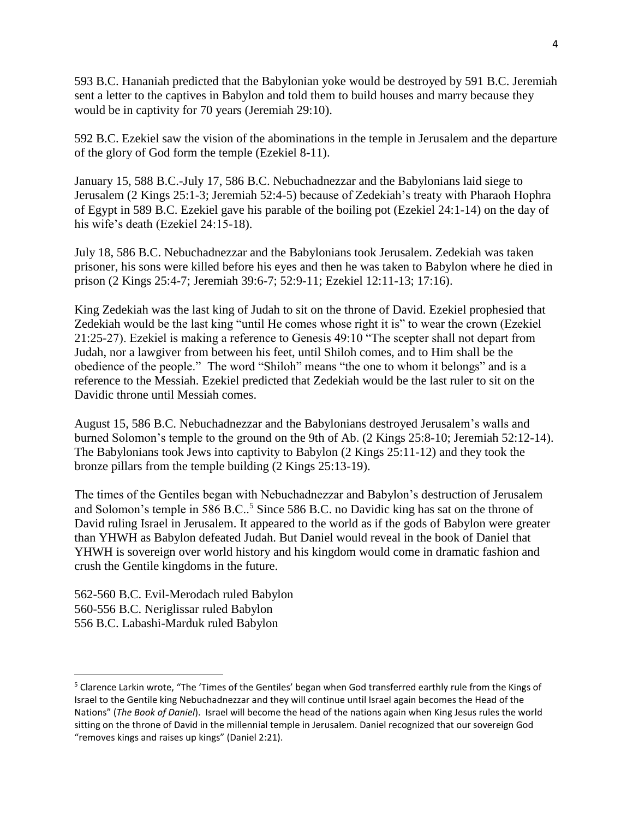593 B.C. Hananiah predicted that the Babylonian yoke would be destroyed by 591 B.C. Jeremiah sent a letter to the captives in Babylon and told them to build houses and marry because they would be in captivity for 70 years (Jeremiah 29:10).

592 B.C. Ezekiel saw the vision of the abominations in the temple in Jerusalem and the departure of the glory of God form the temple (Ezekiel 8-11).

January 15, 588 B.C.-July 17, 586 B.C. Nebuchadnezzar and the Babylonians laid siege to Jerusalem (2 Kings 25:1-3; Jeremiah 52:4-5) because of Zedekiah's treaty with Pharaoh Hophra of Egypt in 589 B.C. Ezekiel gave his parable of the boiling pot (Ezekiel 24:1-14) on the day of his wife's death (Ezekiel 24:15-18).

July 18, 586 B.C. Nebuchadnezzar and the Babylonians took Jerusalem. Zedekiah was taken prisoner, his sons were killed before his eyes and then he was taken to Babylon where he died in prison (2 Kings 25:4-7; Jeremiah 39:6-7; 52:9-11; Ezekiel 12:11-13; 17:16).

King Zedekiah was the last king of Judah to sit on the throne of David. Ezekiel prophesied that Zedekiah would be the last king "until He comes whose right it is" to wear the crown (Ezekiel 21:25-27). Ezekiel is making a reference to Genesis 49:10 "The scepter shall not depart from Judah, nor a lawgiver from between his feet, until Shiloh comes, and to Him shall be the obedience of the people." The word "Shiloh" means "the one to whom it belongs" and is a reference to the Messiah. Ezekiel predicted that Zedekiah would be the last ruler to sit on the Davidic throne until Messiah comes.

August 15, 586 B.C. Nebuchadnezzar and the Babylonians destroyed Jerusalem's walls and burned Solomon's temple to the ground on the 9th of Ab. (2 Kings 25:8-10; Jeremiah 52:12-14). The Babylonians took Jews into captivity to Babylon (2 Kings 25:11-12) and they took the bronze pillars from the temple building (2 Kings 25:13-19).

The times of the Gentiles began with Nebuchadnezzar and Babylon's destruction of Jerusalem and Solomon's temple in 586 B.C.<sup>5</sup> Since 586 B.C. no Davidic king has sat on the throne of David ruling Israel in Jerusalem. It appeared to the world as if the gods of Babylon were greater than YHWH as Babylon defeated Judah. But Daniel would reveal in the book of Daniel that YHWH is sovereign over world history and his kingdom would come in dramatic fashion and crush the Gentile kingdoms in the future.

562-560 B.C. Evil-Merodach ruled Babylon 560-556 B.C. Neriglissar ruled Babylon 556 B.C. Labashi-Marduk ruled Babylon

l

<sup>&</sup>lt;sup>5</sup> Clarence Larkin wrote, "The 'Times of the Gentiles' began when God transferred earthly rule from the Kings of Israel to the Gentile king Nebuchadnezzar and they will continue until Israel again becomes the Head of the Nations" (*The Book of Daniel*). Israel will become the head of the nations again when King Jesus rules the world sitting on the throne of David in the millennial temple in Jerusalem. Daniel recognized that our sovereign God "removes kings and raises up kings" (Daniel 2:21).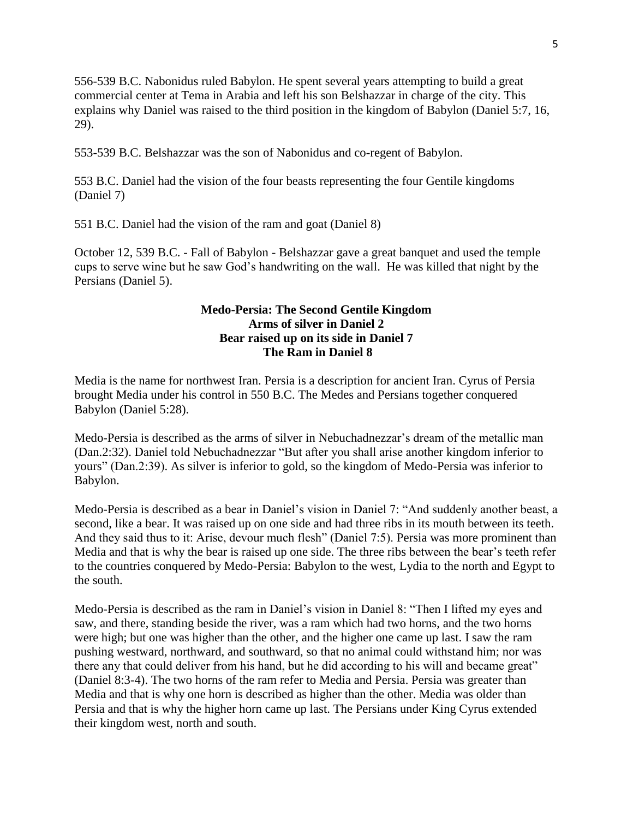556-539 B.C. Nabonidus ruled Babylon. He spent several years attempting to build a great commercial center at Tema in Arabia and left his son Belshazzar in charge of the city. This explains why Daniel was raised to the third position in the kingdom of Babylon (Daniel 5:7, 16, 29).

553-539 B.C. Belshazzar was the son of Nabonidus and co-regent of Babylon.

553 B.C. Daniel had the vision of the four beasts representing the four Gentile kingdoms (Daniel 7)

551 B.C. Daniel had the vision of the ram and goat (Daniel 8)

October 12, 539 B.C. - Fall of Babylon - Belshazzar gave a great banquet and used the temple cups to serve wine but he saw God's handwriting on the wall. He was killed that night by the Persians (Daniel 5).

### **Medo-Persia: The Second Gentile Kingdom Arms of silver in Daniel 2 Bear raised up on its side in Daniel 7 The Ram in Daniel 8**

Media is the name for northwest Iran. Persia is a description for ancient Iran. Cyrus of Persia brought Media under his control in 550 B.C. The Medes and Persians together conquered Babylon (Daniel 5:28).

Medo-Persia is described as the arms of silver in Nebuchadnezzar's dream of the metallic man (Dan.2:32). Daniel told Nebuchadnezzar "But after you shall arise another kingdom inferior to yours" (Dan.2:39). As silver is inferior to gold, so the kingdom of Medo-Persia was inferior to Babylon.

Medo-Persia is described as a bear in Daniel's vision in Daniel 7: "And suddenly another beast, a second, like a bear. It was raised up on one side and had three ribs in its mouth between its teeth. And they said thus to it: Arise, devour much flesh" (Daniel 7:5). Persia was more prominent than Media and that is why the bear is raised up one side. The three ribs between the bear's teeth refer to the countries conquered by Medo-Persia: Babylon to the west, Lydia to the north and Egypt to the south.

Medo-Persia is described as the ram in Daniel's vision in Daniel 8: "Then I lifted my eyes and saw, and there, standing beside the river, was a ram which had two horns, and the two horns were high; but one was higher than the other, and the higher one came up last. I saw the ram pushing westward, northward, and southward, so that no animal could withstand him; nor was there any that could deliver from his hand, but he did according to his will and became great" (Daniel 8:3-4). The two horns of the ram refer to Media and Persia. Persia was greater than Media and that is why one horn is described as higher than the other. Media was older than Persia and that is why the higher horn came up last. The Persians under King Cyrus extended their kingdom west, north and south.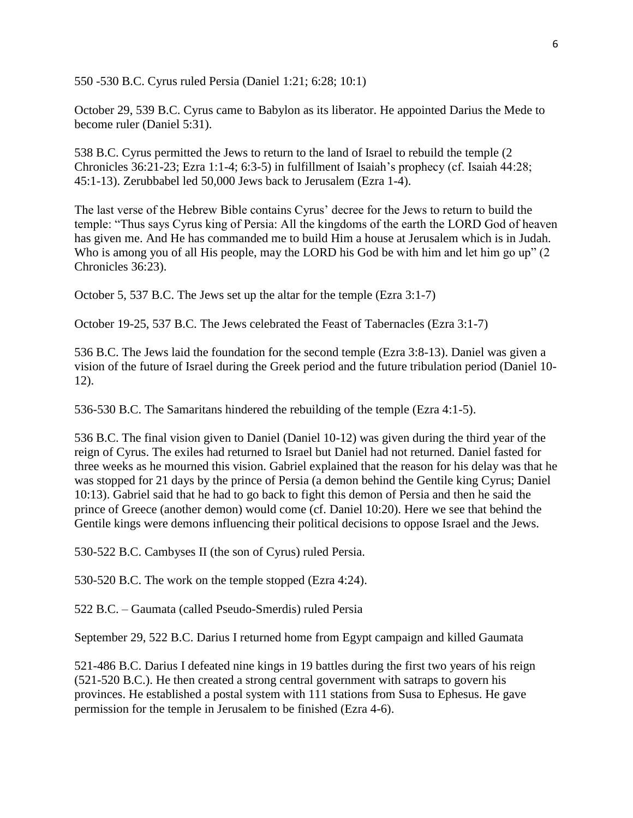550 -530 B.C. Cyrus ruled Persia (Daniel 1:21; 6:28; 10:1)

October 29, 539 B.C. Cyrus came to Babylon as its liberator. He appointed Darius the Mede to become ruler (Daniel 5:31).

538 B.C. Cyrus permitted the Jews to return to the land of Israel to rebuild the temple (2 Chronicles 36:21-23; Ezra 1:1-4; 6:3-5) in fulfillment of Isaiah's prophecy (cf. Isaiah 44:28; 45:1-13). Zerubbabel led 50,000 Jews back to Jerusalem (Ezra 1-4).

The last verse of the Hebrew Bible contains Cyrus' decree for the Jews to return to build the temple: "Thus says Cyrus king of Persia: All the kingdoms of the earth the LORD God of heaven has given me. And He has commanded me to build Him a house at Jerusalem which is in Judah. Who is among you of all His people, may the LORD his God be with him and let him go up" (2) Chronicles 36:23).

October 5, 537 B.C. The Jews set up the altar for the temple (Ezra 3:1-7)

October 19-25, 537 B.C. The Jews celebrated the Feast of Tabernacles (Ezra 3:1-7)

536 B.C. The Jews laid the foundation for the second temple (Ezra 3:8-13). Daniel was given a vision of the future of Israel during the Greek period and the future tribulation period (Daniel 10- 12).

536-530 B.C. The Samaritans hindered the rebuilding of the temple (Ezra 4:1-5).

536 B.C. The final vision given to Daniel (Daniel 10-12) was given during the third year of the reign of Cyrus. The exiles had returned to Israel but Daniel had not returned. Daniel fasted for three weeks as he mourned this vision. Gabriel explained that the reason for his delay was that he was stopped for 21 days by the prince of Persia (a demon behind the Gentile king Cyrus; Daniel 10:13). Gabriel said that he had to go back to fight this demon of Persia and then he said the prince of Greece (another demon) would come (cf. Daniel 10:20). Here we see that behind the Gentile kings were demons influencing their political decisions to oppose Israel and the Jews.

530-522 B.C. Cambyses II (the son of Cyrus) ruled Persia.

530-520 B.C. The work on the temple stopped (Ezra 4:24).

522 B.C. – Gaumata (called Pseudo-Smerdis) ruled Persia

September 29, 522 B.C. Darius I returned home from Egypt campaign and killed Gaumata

521-486 B.C. Darius I defeated nine kings in 19 battles during the first two years of his reign (521-520 B.C.). He then created a strong central government with satraps to govern his provinces. He established a postal system with 111 stations from Susa to Ephesus. He gave permission for the temple in Jerusalem to be finished (Ezra 4-6).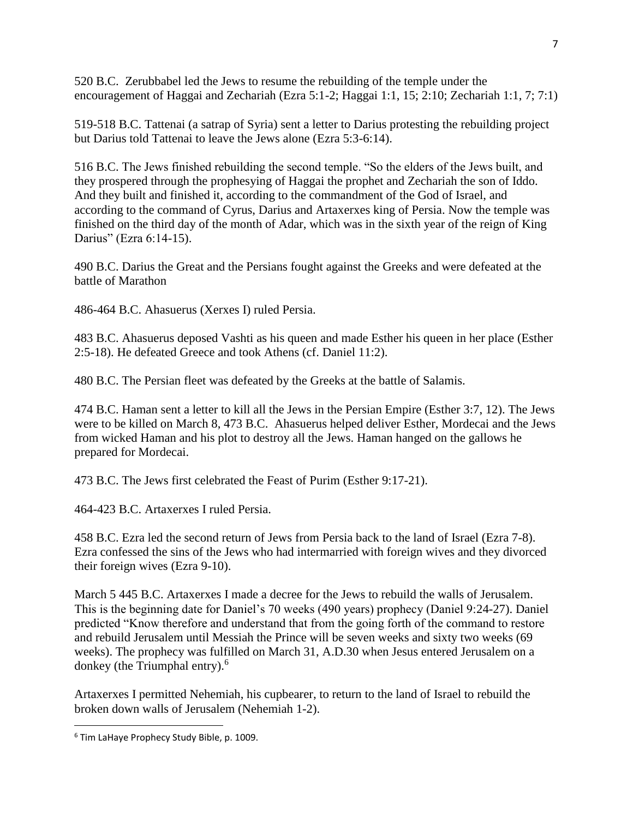520 B.C. Zerubbabel led the Jews to resume the rebuilding of the temple under the encouragement of Haggai and Zechariah (Ezra 5:1-2; Haggai 1:1, 15; 2:10; Zechariah 1:1, 7; 7:1)

519-518 B.C. Tattenai (a satrap of Syria) sent a letter to Darius protesting the rebuilding project but Darius told Tattenai to leave the Jews alone (Ezra 5:3-6:14).

516 B.C. The Jews finished rebuilding the second temple. "So the elders of the Jews built, and they prospered through the prophesying of Haggai the prophet and Zechariah the son of Iddo. And they built and finished it, according to the commandment of the God of Israel, and according to the command of Cyrus, Darius and Artaxerxes king of Persia. Now the temple was finished on the third day of the month of Adar, which was in the sixth year of the reign of King Darius" (Ezra 6:14-15).

490 B.C. Darius the Great and the Persians fought against the Greeks and were defeated at the battle of Marathon

486-464 B.C. Ahasuerus (Xerxes I) ruled Persia.

483 B.C. Ahasuerus deposed Vashti as his queen and made Esther his queen in her place (Esther 2:5-18). He defeated Greece and took Athens (cf. Daniel 11:2).

480 B.C. The Persian fleet was defeated by the Greeks at the battle of Salamis.

474 B.C. Haman sent a letter to kill all the Jews in the Persian Empire (Esther 3:7, 12). The Jews were to be killed on March 8, 473 B.C. Ahasuerus helped deliver Esther, Mordecai and the Jews from wicked Haman and his plot to destroy all the Jews. Haman hanged on the gallows he prepared for Mordecai.

473 B.C. The Jews first celebrated the Feast of Purim (Esther 9:17-21).

464-423 B.C. Artaxerxes I ruled Persia.

458 B.C. Ezra led the second return of Jews from Persia back to the land of Israel (Ezra 7-8). Ezra confessed the sins of the Jews who had intermarried with foreign wives and they divorced their foreign wives (Ezra 9-10).

March 5 445 B.C. Artaxerxes I made a decree for the Jews to rebuild the walls of Jerusalem. This is the beginning date for Daniel's 70 weeks (490 years) prophecy (Daniel 9:24-27). Daniel predicted "Know therefore and understand that from the going forth of the command to restore and rebuild Jerusalem until Messiah the Prince will be seven weeks and sixty two weeks (69 weeks). The prophecy was fulfilled on March 31, A.D.30 when Jesus entered Jerusalem on a donkey (the Triumphal entry).<sup>6</sup>

Artaxerxes I permitted Nehemiah, his cupbearer, to return to the land of Israel to rebuild the broken down walls of Jerusalem (Nehemiah 1-2).

<sup>6</sup> Tim LaHaye Prophecy Study Bible, p. 1009.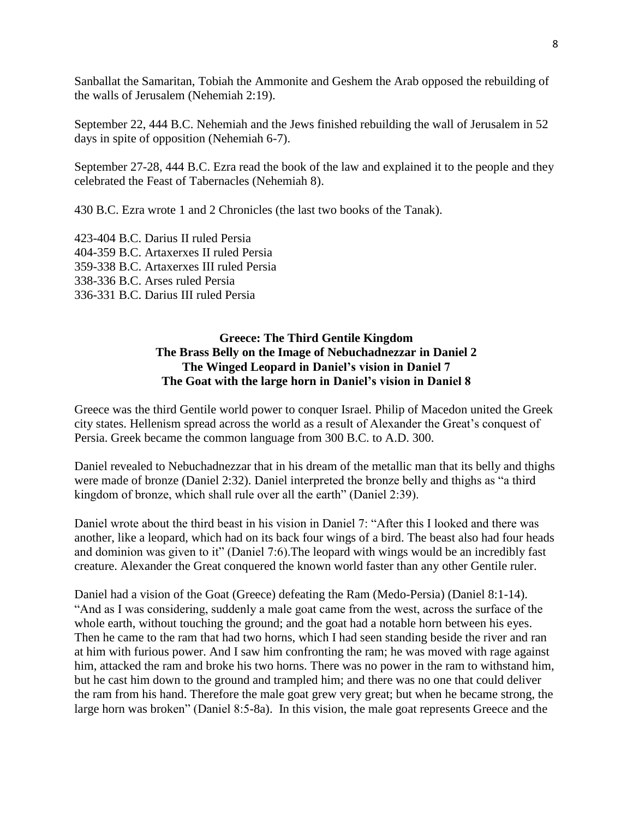Sanballat the Samaritan, Tobiah the Ammonite and Geshem the Arab opposed the rebuilding of the walls of Jerusalem (Nehemiah 2:19).

September 22, 444 B.C. Nehemiah and the Jews finished rebuilding the wall of Jerusalem in 52 days in spite of opposition (Nehemiah 6-7).

September 27-28, 444 B.C. Ezra read the book of the law and explained it to the people and they celebrated the Feast of Tabernacles (Nehemiah 8).

430 B.C. Ezra wrote 1 and 2 Chronicles (the last two books of the Tanak).

423-404 B.C. Darius II ruled Persia 404-359 B.C. Artaxerxes II ruled Persia 359-338 B.C. Artaxerxes III ruled Persia 338-336 B.C. Arses ruled Persia 336-331 B.C. Darius III ruled Persia

### **Greece: The Third Gentile Kingdom The Brass Belly on the Image of Nebuchadnezzar in Daniel 2 The Winged Leopard in Daniel's vision in Daniel 7 The Goat with the large horn in Daniel's vision in Daniel 8**

Greece was the third Gentile world power to conquer Israel. Philip of Macedon united the Greek city states. Hellenism spread across the world as a result of Alexander the Great's conquest of Persia. Greek became the common language from 300 B.C. to A.D. 300.

Daniel revealed to Nebuchadnezzar that in his dream of the metallic man that its belly and thighs were made of bronze (Daniel 2:32). Daniel interpreted the bronze belly and thighs as "a third kingdom of bronze, which shall rule over all the earth" (Daniel 2:39).

Daniel wrote about the third beast in his vision in Daniel 7: "After this I looked and there was another, like a leopard, which had on its back four wings of a bird. The beast also had four heads and dominion was given to it" (Daniel 7:6).The leopard with wings would be an incredibly fast creature. Alexander the Great conquered the known world faster than any other Gentile ruler.

Daniel had a vision of the Goat (Greece) defeating the Ram (Medo-Persia) (Daniel 8:1-14). "And as I was considering, suddenly a male goat came from the west, across the surface of the whole earth, without touching the ground; and the goat had a notable horn between his eyes. Then he came to the ram that had two horns, which I had seen standing beside the river and ran at him with furious power. And I saw him confronting the ram; he was moved with rage against him, attacked the ram and broke his two horns. There was no power in the ram to withstand him, but he cast him down to the ground and trampled him; and there was no one that could deliver the ram from his hand. Therefore the male goat grew very great; but when he became strong, the large horn was broken" (Daniel 8:5-8a). In this vision, the male goat represents Greece and the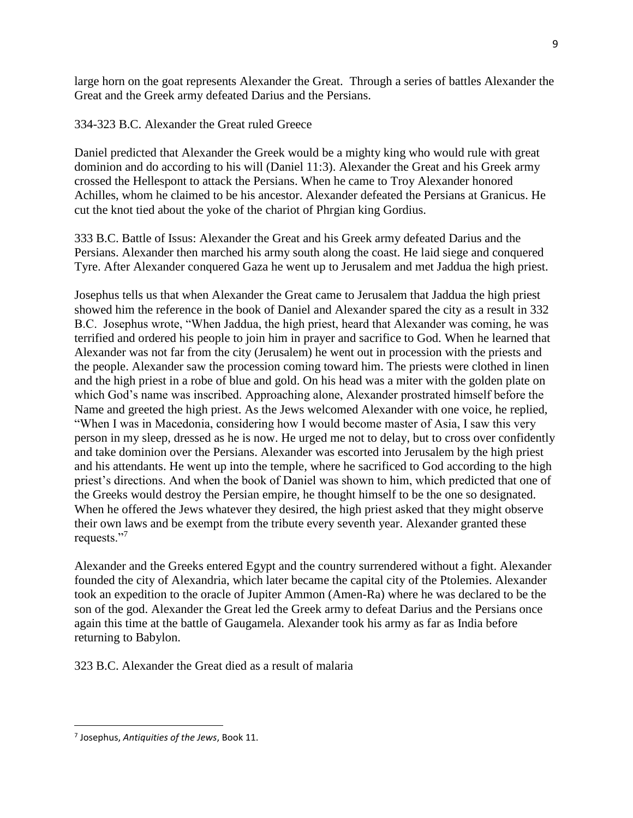large horn on the goat represents Alexander the Great. Through a series of battles Alexander the Great and the Greek army defeated Darius and the Persians.

334-323 B.C. Alexander the Great ruled Greece

Daniel predicted that Alexander the Greek would be a mighty king who would rule with great dominion and do according to his will (Daniel 11:3). Alexander the Great and his Greek army crossed the Hellespont to attack the Persians. When he came to Troy Alexander honored Achilles, whom he claimed to be his ancestor. Alexander defeated the Persians at Granicus. He cut the knot tied about the yoke of the chariot of Phrgian king Gordius.

333 B.C. Battle of Issus: Alexander the Great and his Greek army defeated Darius and the Persians. Alexander then marched his army south along the coast. He laid siege and conquered Tyre. After Alexander conquered Gaza he went up to Jerusalem and met Jaddua the high priest.

Josephus tells us that when Alexander the Great came to Jerusalem that Jaddua the high priest showed him the reference in the book of Daniel and Alexander spared the city as a result in 332 B.C. Josephus wrote, "When Jaddua, the high priest, heard that Alexander was coming, he was terrified and ordered his people to join him in prayer and sacrifice to God. When he learned that Alexander was not far from the city (Jerusalem) he went out in procession with the priests and the people. Alexander saw the procession coming toward him. The priests were clothed in linen and the high priest in a robe of blue and gold. On his head was a miter with the golden plate on which God's name was inscribed. Approaching alone, Alexander prostrated himself before the Name and greeted the high priest. As the Jews welcomed Alexander with one voice, he replied, "When I was in Macedonia, considering how I would become master of Asia, I saw this very person in my sleep, dressed as he is now. He urged me not to delay, but to cross over confidently and take dominion over the Persians. Alexander was escorted into Jerusalem by the high priest and his attendants. He went up into the temple, where he sacrificed to God according to the high priest's directions. And when the book of Daniel was shown to him, which predicted that one of the Greeks would destroy the Persian empire, he thought himself to be the one so designated. When he offered the Jews whatever they desired, the high priest asked that they might observe their own laws and be exempt from the tribute every seventh year. Alexander granted these requests."<sup>7</sup>

Alexander and the Greeks entered Egypt and the country surrendered without a fight. Alexander founded the city of Alexandria, which later became the capital city of the Ptolemies. Alexander took an expedition to the oracle of Jupiter Ammon (Amen-Ra) where he was declared to be the son of the god. Alexander the Great led the Greek army to defeat Darius and the Persians once again this time at the battle of Gaugamela. Alexander took his army as far as India before returning to Babylon.

323 B.C. Alexander the Great died as a result of malaria

<sup>7</sup> Josephus, *Antiquities of the Jews*, Book 11.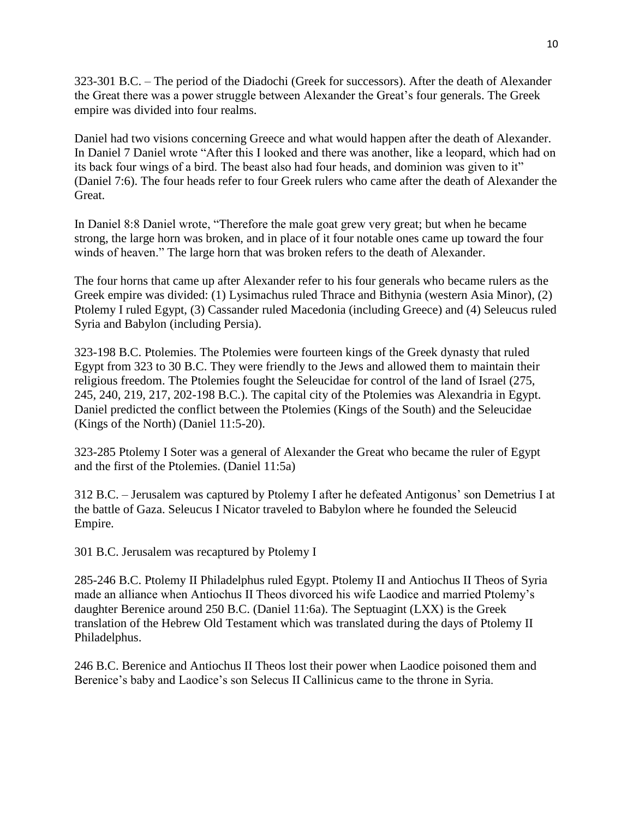323-301 B.C. – The period of the Diadochi (Greek for successors). After the death of Alexander the Great there was a power struggle between Alexander the Great's four generals. The Greek empire was divided into four realms.

Daniel had two visions concerning Greece and what would happen after the death of Alexander. In Daniel 7 Daniel wrote "After this I looked and there was another, like a leopard, which had on its back four wings of a bird. The beast also had four heads, and dominion was given to it" (Daniel 7:6). The four heads refer to four Greek rulers who came after the death of Alexander the Great.

In Daniel 8:8 Daniel wrote, "Therefore the male goat grew very great; but when he became strong, the large horn was broken, and in place of it four notable ones came up toward the four winds of heaven." The large horn that was broken refers to the death of Alexander.

The four horns that came up after Alexander refer to his four generals who became rulers as the Greek empire was divided: (1) Lysimachus ruled Thrace and Bithynia (western Asia Minor), (2) Ptolemy I ruled Egypt, (3) Cassander ruled Macedonia (including Greece) and (4) Seleucus ruled Syria and Babylon (including Persia).

323-198 B.C. Ptolemies. The Ptolemies were fourteen kings of the Greek dynasty that ruled Egypt from 323 to 30 B.C. They were friendly to the Jews and allowed them to maintain their religious freedom. The Ptolemies fought the Seleucidae for control of the land of Israel (275, 245, 240, 219, 217, 202-198 B.C.). The capital city of the Ptolemies was Alexandria in Egypt. Daniel predicted the conflict between the Ptolemies (Kings of the South) and the Seleucidae (Kings of the North) (Daniel 11:5-20).

323-285 Ptolemy I Soter was a general of Alexander the Great who became the ruler of Egypt and the first of the Ptolemies. (Daniel 11:5a)

312 B.C. – Jerusalem was captured by Ptolemy I after he defeated Antigonus' son Demetrius I at the battle of Gaza. Seleucus I Nicator traveled to Babylon where he founded the Seleucid Empire.

301 B.C. Jerusalem was recaptured by Ptolemy I

285-246 B.C. Ptolemy II Philadelphus ruled Egypt. Ptolemy II and Antiochus II Theos of Syria made an alliance when Antiochus II Theos divorced his wife Laodice and married Ptolemy's daughter Berenice around 250 B.C. (Daniel 11:6a). The Septuagint (LXX) is the Greek translation of the Hebrew Old Testament which was translated during the days of Ptolemy II Philadelphus.

246 B.C. Berenice and Antiochus II Theos lost their power when Laodice poisoned them and Berenice's baby and Laodice's son Selecus II Callinicus came to the throne in Syria.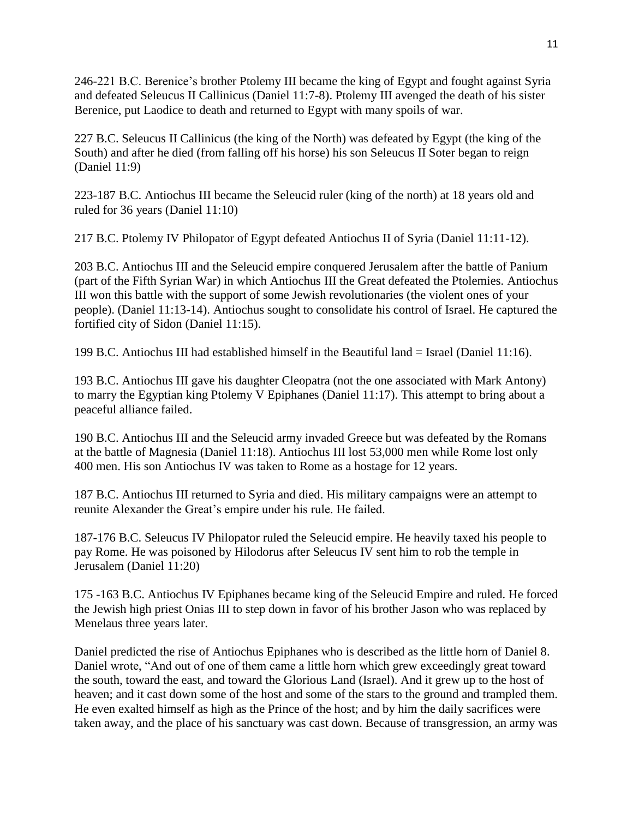246-221 B.C. Berenice's brother Ptolemy III became the king of Egypt and fought against Syria and defeated Seleucus II Callinicus (Daniel 11:7-8). Ptolemy III avenged the death of his sister Berenice, put Laodice to death and returned to Egypt with many spoils of war.

227 B.C. Seleucus II Callinicus (the king of the North) was defeated by Egypt (the king of the South) and after he died (from falling off his horse) his son Seleucus II Soter began to reign (Daniel 11:9)

223-187 B.C. Antiochus III became the Seleucid ruler (king of the north) at 18 years old and ruled for 36 years (Daniel 11:10)

217 B.C. Ptolemy IV Philopator of Egypt defeated Antiochus II of Syria (Daniel 11:11-12).

203 B.C. Antiochus III and the Seleucid empire conquered Jerusalem after the battle of Panium (part of the Fifth Syrian War) in which Antiochus III the Great defeated the Ptolemies. Antiochus III won this battle with the support of some Jewish revolutionaries (the violent ones of your people). (Daniel 11:13-14). Antiochus sought to consolidate his control of Israel. He captured the fortified city of Sidon (Daniel 11:15).

199 B.C. Antiochus III had established himself in the Beautiful land = Israel (Daniel 11:16).

193 B.C. Antiochus III gave his daughter Cleopatra (not the one associated with Mark Antony) to marry the Egyptian king Ptolemy V Epiphanes (Daniel 11:17). This attempt to bring about a peaceful alliance failed.

190 B.C. Antiochus III and the Seleucid army invaded Greece but was defeated by the Romans at the battle of Magnesia (Daniel 11:18). Antiochus III lost 53,000 men while Rome lost only 400 men. His son Antiochus IV was taken to Rome as a hostage for 12 years.

187 B.C. Antiochus III returned to Syria and died. His military campaigns were an attempt to reunite Alexander the Great's empire under his rule. He failed.

187-176 B.C. Seleucus IV Philopator ruled the Seleucid empire. He heavily taxed his people to pay Rome. He was poisoned by Hilodorus after Seleucus IV sent him to rob the temple in Jerusalem (Daniel 11:20)

175 -163 B.C. Antiochus IV Epiphanes became king of the Seleucid Empire and ruled. He forced the Jewish high priest Onias III to step down in favor of his brother Jason who was replaced by Menelaus three years later.

Daniel predicted the rise of Antiochus Epiphanes who is described as the little horn of Daniel 8. Daniel wrote, "And out of one of them came a little horn which grew exceedingly great toward the south, toward the east, and toward the Glorious Land (Israel). And it grew up to the host of heaven; and it cast down some of the host and some of the stars to the ground and trampled them. He even exalted himself as high as the Prince of the host; and by him the daily sacrifices were taken away, and the place of his sanctuary was cast down. Because of transgression, an army was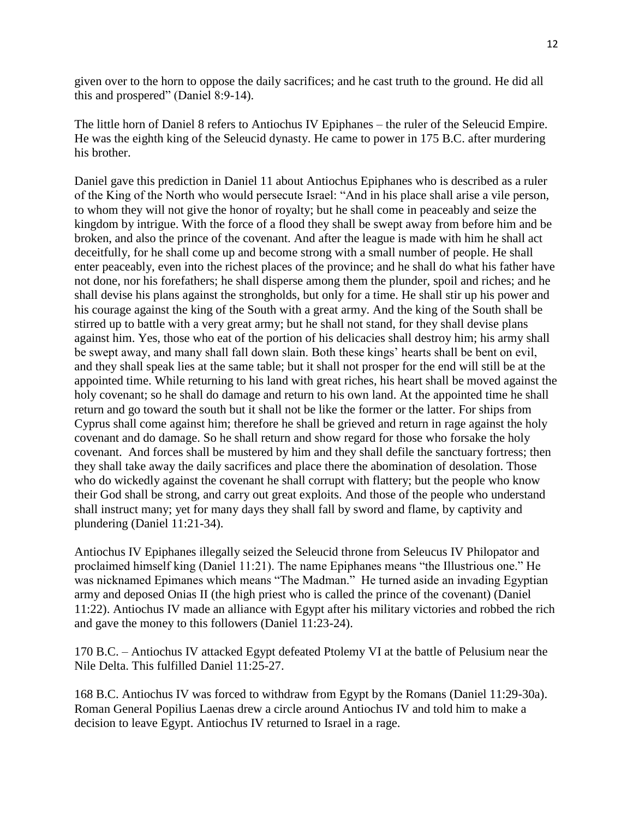given over to the horn to oppose the daily sacrifices; and he cast truth to the ground. He did all this and prospered" (Daniel 8:9-14).

The little horn of Daniel 8 refers to Antiochus IV Epiphanes – the ruler of the Seleucid Empire. He was the eighth king of the Seleucid dynasty. He came to power in 175 B.C. after murdering his brother.

Daniel gave this prediction in Daniel 11 about Antiochus Epiphanes who is described as a ruler of the King of the North who would persecute Israel: "And in his place shall arise a vile person, to whom they will not give the honor of royalty; but he shall come in peaceably and seize the kingdom by intrigue. With the force of a flood they shall be swept away from before him and be broken, and also the prince of the covenant. And after the league is made with him he shall act deceitfully, for he shall come up and become strong with a small number of people. He shall enter peaceably, even into the richest places of the province; and he shall do what his father have not done, nor his forefathers; he shall disperse among them the plunder, spoil and riches; and he shall devise his plans against the strongholds, but only for a time. He shall stir up his power and his courage against the king of the South with a great army. And the king of the South shall be stirred up to battle with a very great army; but he shall not stand, for they shall devise plans against him. Yes, those who eat of the portion of his delicacies shall destroy him; his army shall be swept away, and many shall fall down slain. Both these kings' hearts shall be bent on evil, and they shall speak lies at the same table; but it shall not prosper for the end will still be at the appointed time. While returning to his land with great riches, his heart shall be moved against the holy covenant; so he shall do damage and return to his own land. At the appointed time he shall return and go toward the south but it shall not be like the former or the latter. For ships from Cyprus shall come against him; therefore he shall be grieved and return in rage against the holy covenant and do damage. So he shall return and show regard for those who forsake the holy covenant. And forces shall be mustered by him and they shall defile the sanctuary fortress; then they shall take away the daily sacrifices and place there the abomination of desolation. Those who do wickedly against the covenant he shall corrupt with flattery; but the people who know their God shall be strong, and carry out great exploits. And those of the people who understand shall instruct many; yet for many days they shall fall by sword and flame, by captivity and plundering (Daniel 11:21-34).

Antiochus IV Epiphanes illegally seized the Seleucid throne from Seleucus IV Philopator and proclaimed himself king (Daniel 11:21). The name Epiphanes means "the Illustrious one." He was nicknamed Epimanes which means "The Madman." He turned aside an invading Egyptian army and deposed Onias II (the high priest who is called the prince of the covenant) (Daniel 11:22). Antiochus IV made an alliance with Egypt after his military victories and robbed the rich and gave the money to this followers (Daniel 11:23-24).

170 B.C. – Antiochus IV attacked Egypt defeated Ptolemy VI at the battle of Pelusium near the Nile Delta. This fulfilled Daniel 11:25-27.

168 B.C. Antiochus IV was forced to withdraw from Egypt by the Romans (Daniel 11:29-30a). Roman General Popilius Laenas drew a circle around Antiochus IV and told him to make a decision to leave Egypt. Antiochus IV returned to Israel in a rage.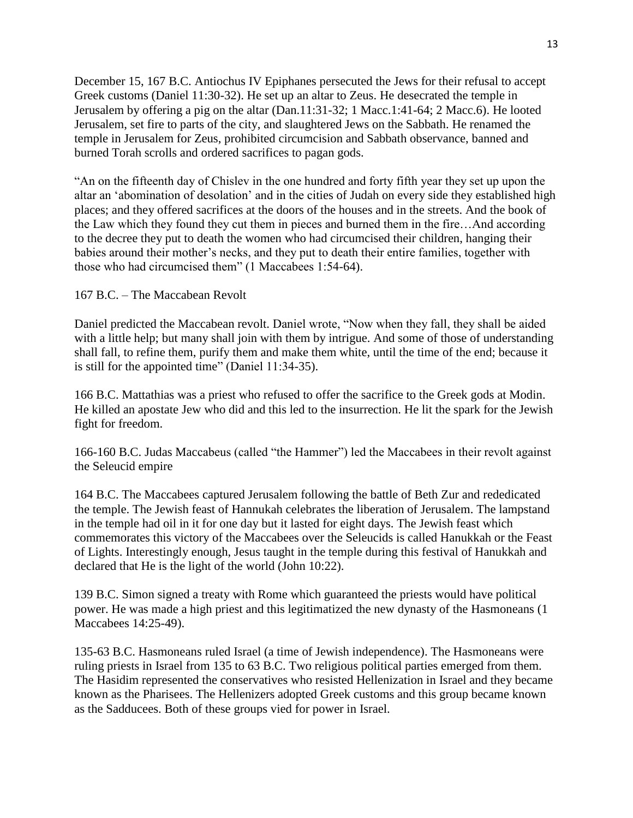December 15, 167 B.C. Antiochus IV Epiphanes persecuted the Jews for their refusal to accept Greek customs (Daniel 11:30-32). He set up an altar to Zeus. He desecrated the temple in Jerusalem by offering a pig on the altar (Dan.11:31-32; 1 Macc.1:41-64; 2 Macc.6). He looted Jerusalem, set fire to parts of the city, and slaughtered Jews on the Sabbath. He renamed the temple in Jerusalem for Zeus, prohibited circumcision and Sabbath observance, banned and burned Torah scrolls and ordered sacrifices to pagan gods.

"An on the fifteenth day of Chislev in the one hundred and forty fifth year they set up upon the altar an 'abomination of desolation' and in the cities of Judah on every side they established high places; and they offered sacrifices at the doors of the houses and in the streets. And the book of the Law which they found they cut them in pieces and burned them in the fire…And according to the decree they put to death the women who had circumcised their children, hanging their babies around their mother's necks, and they put to death their entire families, together with those who had circumcised them" (1 Maccabees 1:54-64).

167 B.C. – The Maccabean Revolt

Daniel predicted the Maccabean revolt. Daniel wrote, "Now when they fall, they shall be aided with a little help; but many shall join with them by intrigue. And some of those of understanding shall fall, to refine them, purify them and make them white, until the time of the end; because it is still for the appointed time" (Daniel 11:34-35).

166 B.C. Mattathias was a priest who refused to offer the sacrifice to the Greek gods at Modin. He killed an apostate Jew who did and this led to the insurrection. He lit the spark for the Jewish fight for freedom.

166-160 B.C. Judas Maccabeus (called "the Hammer") led the Maccabees in their revolt against the Seleucid empire

164 B.C. The Maccabees captured Jerusalem following the battle of Beth Zur and rededicated the temple. The Jewish feast of Hannukah celebrates the liberation of Jerusalem. The lampstand in the temple had oil in it for one day but it lasted for eight days. The Jewish feast which commemorates this victory of the Maccabees over the Seleucids is called Hanukkah or the Feast of Lights. Interestingly enough, Jesus taught in the temple during this festival of Hanukkah and declared that He is the light of the world (John 10:22).

139 B.C. Simon signed a treaty with Rome which guaranteed the priests would have political power. He was made a high priest and this legitimatized the new dynasty of the Hasmoneans (1 Maccabees 14:25-49).

135-63 B.C. Hasmoneans ruled Israel (a time of Jewish independence). The Hasmoneans were ruling priests in Israel from 135 to 63 B.C. Two religious political parties emerged from them. The Hasidim represented the conservatives who resisted Hellenization in Israel and they became known as the Pharisees. The Hellenizers adopted Greek customs and this group became known as the Sadducees. Both of these groups vied for power in Israel.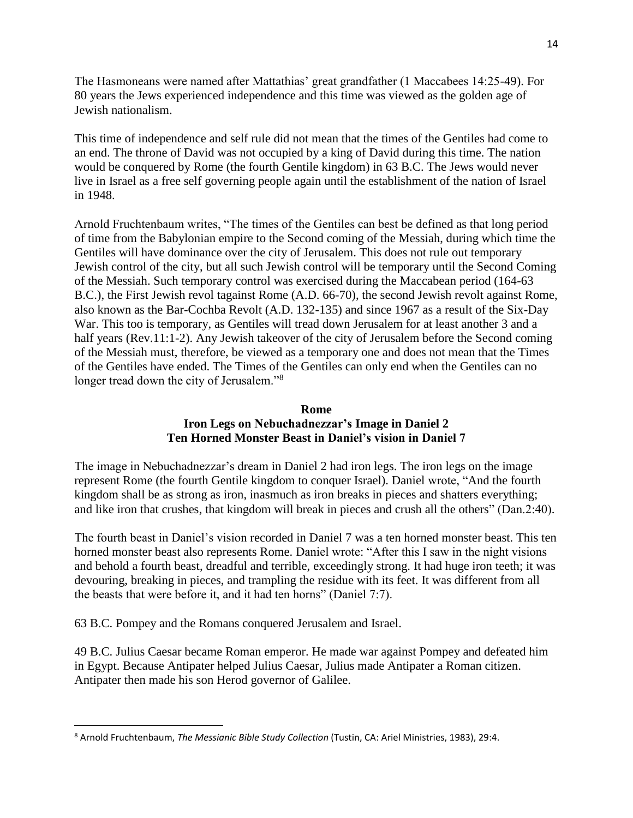The Hasmoneans were named after Mattathias' great grandfather (1 Maccabees 14:25-49). For 80 years the Jews experienced independence and this time was viewed as the golden age of Jewish nationalism.

This time of independence and self rule did not mean that the times of the Gentiles had come to an end. The throne of David was not occupied by a king of David during this time. The nation would be conquered by Rome (the fourth Gentile kingdom) in 63 B.C. The Jews would never live in Israel as a free self governing people again until the establishment of the nation of Israel in 1948.

Arnold Fruchtenbaum writes, "The times of the Gentiles can best be defined as that long period of time from the Babylonian empire to the Second coming of the Messiah, during which time the Gentiles will have dominance over the city of Jerusalem. This does not rule out temporary Jewish control of the city, but all such Jewish control will be temporary until the Second Coming of the Messiah. Such temporary control was exercised during the Maccabean period (164-63 B.C.), the First Jewish revol tagainst Rome (A.D. 66-70), the second Jewish revolt against Rome, also known as the Bar-Cochba Revolt (A.D. 132-135) and since 1967 as a result of the Six-Day War. This too is temporary, as Gentiles will tread down Jerusalem for at least another 3 and a half years (Rev.11:1-2). Any Jewish takeover of the city of Jerusalem before the Second coming of the Messiah must, therefore, be viewed as a temporary one and does not mean that the Times of the Gentiles have ended. The Times of the Gentiles can only end when the Gentiles can no longer tread down the city of Jerusalem."<sup>8</sup>

### **Rome Iron Legs on Nebuchadnezzar's Image in Daniel 2 Ten Horned Monster Beast in Daniel's vision in Daniel 7**

The image in Nebuchadnezzar's dream in Daniel 2 had iron legs. The iron legs on the image represent Rome (the fourth Gentile kingdom to conquer Israel). Daniel wrote, "And the fourth kingdom shall be as strong as iron, inasmuch as iron breaks in pieces and shatters everything; and like iron that crushes, that kingdom will break in pieces and crush all the others" (Dan.2:40).

The fourth beast in Daniel's vision recorded in Daniel 7 was a ten horned monster beast. This ten horned monster beast also represents Rome. Daniel wrote: "After this I saw in the night visions and behold a fourth beast, dreadful and terrible, exceedingly strong. It had huge iron teeth; it was devouring, breaking in pieces, and trampling the residue with its feet. It was different from all the beasts that were before it, and it had ten horns" (Daniel 7:7).

63 B.C. Pompey and the Romans conquered Jerusalem and Israel.

 $\overline{\phantom{a}}$ 

49 B.C. Julius Caesar became Roman emperor. He made war against Pompey and defeated him in Egypt. Because Antipater helped Julius Caesar, Julius made Antipater a Roman citizen. Antipater then made his son Herod governor of Galilee.

<sup>8</sup> Arnold Fruchtenbaum, *The Messianic Bible Study Collection* (Tustin, CA: Ariel Ministries, 1983), 29:4.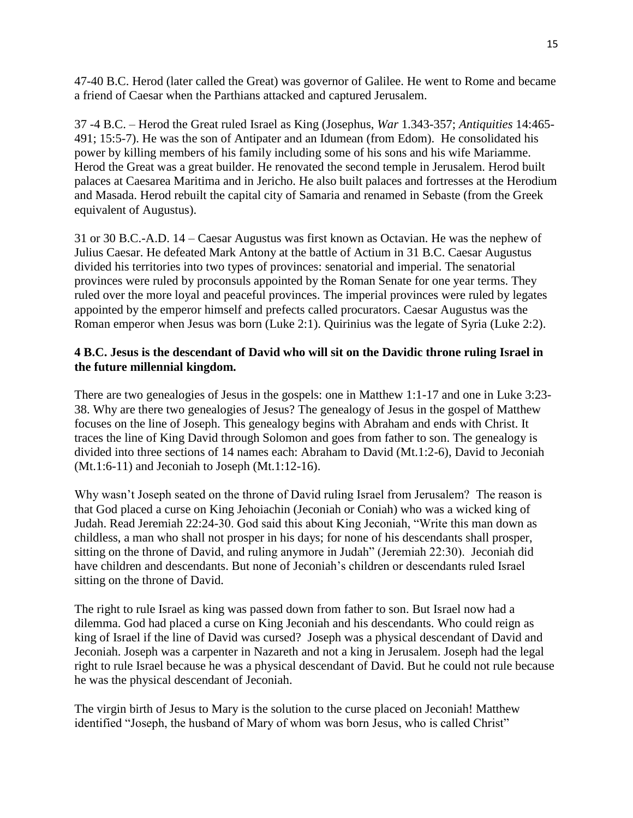47-40 B.C. Herod (later called the Great) was governor of Galilee. He went to Rome and became a friend of Caesar when the Parthians attacked and captured Jerusalem.

37 -4 B.C. – Herod the Great ruled Israel as King (Josephus, *War* 1.343-357; *Antiquities* 14:465- 491; 15:5-7). He was the son of Antipater and an Idumean (from Edom). He consolidated his power by killing members of his family including some of his sons and his wife Mariamme. Herod the Great was a great builder. He renovated the second temple in Jerusalem. Herod built palaces at Caesarea Maritima and in Jericho. He also built palaces and fortresses at the Herodium and Masada. Herod rebuilt the capital city of Samaria and renamed in Sebaste (from the Greek equivalent of Augustus).

31 or 30 B.C.-A.D. 14 – Caesar Augustus was first known as Octavian. He was the nephew of Julius Caesar. He defeated Mark Antony at the battle of Actium in 31 B.C. Caesar Augustus divided his territories into two types of provinces: senatorial and imperial. The senatorial provinces were ruled by proconsuls appointed by the Roman Senate for one year terms. They ruled over the more loyal and peaceful provinces. The imperial provinces were ruled by legates appointed by the emperor himself and prefects called procurators. Caesar Augustus was the Roman emperor when Jesus was born (Luke 2:1). Quirinius was the legate of Syria (Luke 2:2).

### **4 B.C. Jesus is the descendant of David who will sit on the Davidic throne ruling Israel in the future millennial kingdom.**

There are two genealogies of Jesus in the gospels: one in Matthew 1:1-17 and one in Luke 3:23- 38. Why are there two genealogies of Jesus? The genealogy of Jesus in the gospel of Matthew focuses on the line of Joseph. This genealogy begins with Abraham and ends with Christ. It traces the line of King David through Solomon and goes from father to son. The genealogy is divided into three sections of 14 names each: Abraham to David (Mt.1:2-6), David to Jeconiah  $(Mt.1:6-11)$  and Jeconiah to Joseph  $(Mt.1:12-16)$ .

Why wasn't Joseph seated on the throne of David ruling Israel from Jerusalem? The reason is that God placed a curse on King Jehoiachin (Jeconiah or Coniah) who was a wicked king of Judah. Read Jeremiah 22:24-30. God said this about King Jeconiah, "Write this man down as childless, a man who shall not prosper in his days; for none of his descendants shall prosper, sitting on the throne of David, and ruling anymore in Judah" (Jeremiah 22:30). Jeconiah did have children and descendants. But none of Jeconiah's children or descendants ruled Israel sitting on the throne of David.

The right to rule Israel as king was passed down from father to son. But Israel now had a dilemma. God had placed a curse on King Jeconiah and his descendants. Who could reign as king of Israel if the line of David was cursed? Joseph was a physical descendant of David and Jeconiah. Joseph was a carpenter in Nazareth and not a king in Jerusalem. Joseph had the legal right to rule Israel because he was a physical descendant of David. But he could not rule because he was the physical descendant of Jeconiah.

The virgin birth of Jesus to Mary is the solution to the curse placed on Jeconiah! Matthew identified "Joseph, the husband of Mary of whom was born Jesus, who is called Christ"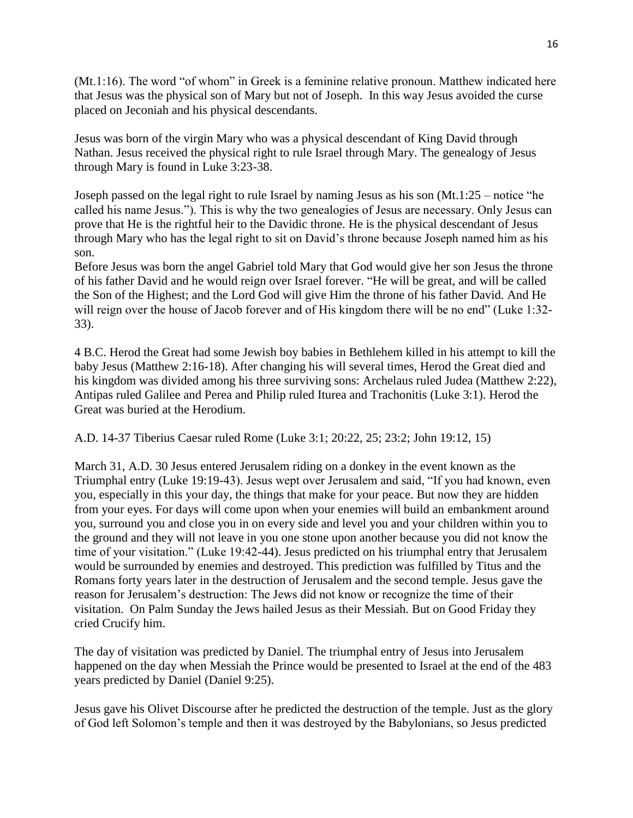(Mt.1:16). The word "of whom" in Greek is a feminine relative pronoun. Matthew indicated here that Jesus was the physical son of Mary but not of Joseph. In this way Jesus avoided the curse placed on Jeconiah and his physical descendants.

Jesus was born of the virgin Mary who was a physical descendant of King David through Nathan. Jesus received the physical right to rule Israel through Mary. The genealogy of Jesus through Mary is found in Luke 3:23-38.

Joseph passed on the legal right to rule Israel by naming Jesus as his son (Mt.1:25 – notice "he called his name Jesus."). This is why the two genealogies of Jesus are necessary. Only Jesus can prove that He is the rightful heir to the Davidic throne. He is the physical descendant of Jesus through Mary who has the legal right to sit on David's throne because Joseph named him as his son.

Before Jesus was born the angel Gabriel told Mary that God would give her son Jesus the throne of his father David and he would reign over Israel forever. "He will be great, and will be called the Son of the Highest; and the Lord God will give Him the throne of his father David. And He will reign over the house of Jacob forever and of His kingdom there will be no end" (Luke 1:32-33).

4 B.C. Herod the Great had some Jewish boy babies in Bethlehem killed in his attempt to kill the baby Jesus (Matthew 2:16-18). After changing his will several times, Herod the Great died and his kingdom was divided among his three surviving sons: Archelaus ruled Judea (Matthew 2:22), Antipas ruled Galilee and Perea and Philip ruled Iturea and Trachonitis (Luke 3:1). Herod the Great was buried at the Herodium.

A.D. 14-37 Tiberius Caesar ruled Rome (Luke 3:1; 20:22, 25; 23:2; John 19:12, 15)

March 31, A.D. 30 Jesus entered Jerusalem riding on a donkey in the event known as the Triumphal entry (Luke 19:19-43). Jesus wept over Jerusalem and said, "If you had known, even you, especially in this your day, the things that make for your peace. But now they are hidden from your eyes. For days will come upon when your enemies will build an embankment around you, surround you and close you in on every side and level you and your children within you to the ground and they will not leave in you one stone upon another because you did not know the time of your visitation." (Luke 19:42-44). Jesus predicted on his triumphal entry that Jerusalem would be surrounded by enemies and destroyed. This prediction was fulfilled by Titus and the Romans forty years later in the destruction of Jerusalem and the second temple. Jesus gave the reason for Jerusalem's destruction: The Jews did not know or recognize the time of their visitation. On Palm Sunday the Jews hailed Jesus as their Messiah. But on Good Friday they cried Crucify him.

The day of visitation was predicted by Daniel. The triumphal entry of Jesus into Jerusalem happened on the day when Messiah the Prince would be presented to Israel at the end of the 483 years predicted by Daniel (Daniel 9:25).

Jesus gave his Olivet Discourse after he predicted the destruction of the temple. Just as the glory of God left Solomon's temple and then it was destroyed by the Babylonians, so Jesus predicted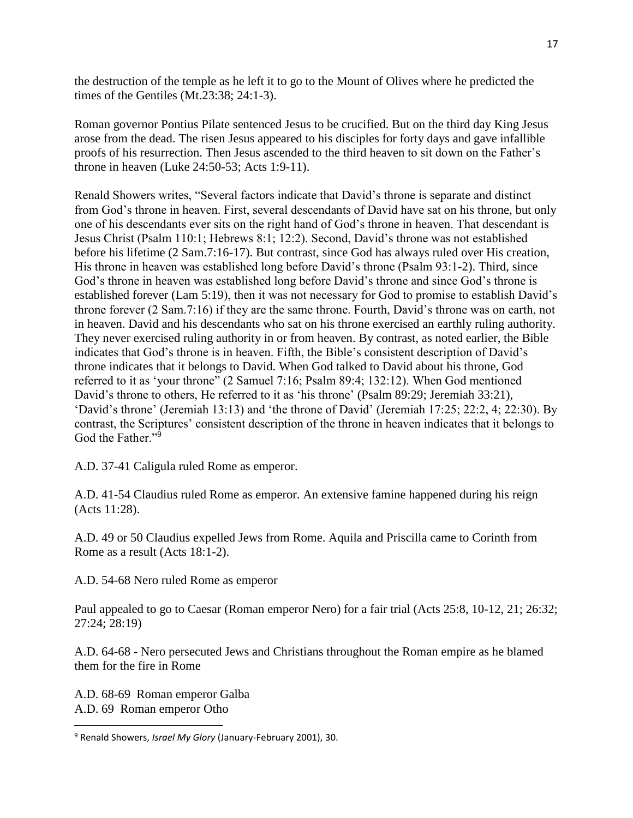the destruction of the temple as he left it to go to the Mount of Olives where he predicted the times of the Gentiles (Mt.23:38; 24:1-3).

Roman governor Pontius Pilate sentenced Jesus to be crucified. But on the third day King Jesus arose from the dead. The risen Jesus appeared to his disciples for forty days and gave infallible proofs of his resurrection. Then Jesus ascended to the third heaven to sit down on the Father's throne in heaven (Luke 24:50-53; Acts 1:9-11).

Renald Showers writes, "Several factors indicate that David's throne is separate and distinct from God's throne in heaven. First, several descendants of David have sat on his throne, but only one of his descendants ever sits on the right hand of God's throne in heaven. That descendant is Jesus Christ (Psalm 110:1; Hebrews 8:1; 12:2). Second, David's throne was not established before his lifetime (2 Sam.7:16-17). But contrast, since God has always ruled over His creation, His throne in heaven was established long before David's throne (Psalm 93:1-2). Third, since God's throne in heaven was established long before David's throne and since God's throne is established forever (Lam 5:19), then it was not necessary for God to promise to establish David's throne forever (2 Sam.7:16) if they are the same throne. Fourth, David's throne was on earth, not in heaven. David and his descendants who sat on his throne exercised an earthly ruling authority. They never exercised ruling authority in or from heaven. By contrast, as noted earlier, the Bible indicates that God's throne is in heaven. Fifth, the Bible's consistent description of David's throne indicates that it belongs to David. When God talked to David about his throne, God referred to it as 'your throne" (2 Samuel 7:16; Psalm 89:4; 132:12). When God mentioned David's throne to others, He referred to it as 'his throne' (Psalm 89:29; Jeremiah 33:21), 'David's throne' (Jeremiah 13:13) and 'the throne of David' (Jeremiah 17:25; 22:2, 4; 22:30). By contrast, the Scriptures' consistent description of the throne in heaven indicates that it belongs to God the Father."<sup>9</sup>

A.D. 37-41 Caligula ruled Rome as emperor.

A.D. 41-54 Claudius ruled Rome as emperor. An extensive famine happened during his reign (Acts 11:28).

A.D. 49 or 50 Claudius expelled Jews from Rome. Aquila and Priscilla came to Corinth from Rome as a result (Acts 18:1-2).

A.D. 54-68 Nero ruled Rome as emperor

Paul appealed to go to Caesar (Roman emperor Nero) for a fair trial (Acts 25:8, 10-12, 21; 26:32; 27:24; 28:19)

A.D. 64-68 - Nero persecuted Jews and Christians throughout the Roman empire as he blamed them for the fire in Rome

A.D. 68-69 Roman emperor Galba A.D. 69 Roman emperor Otho

<sup>9</sup> Renald Showers, *Israel My Glory* (January-February 2001), 30.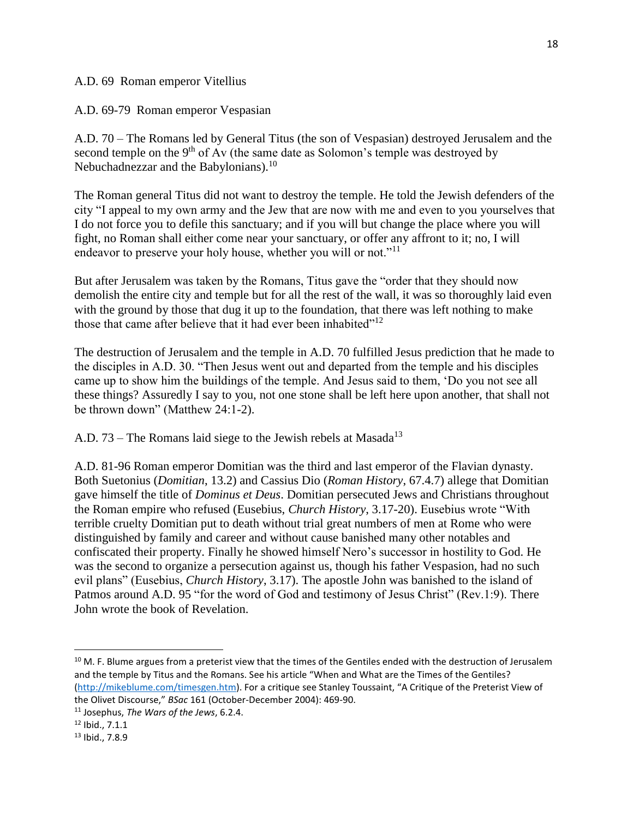#### A.D. 69 Roman emperor Vitellius

A.D. 69-79 Roman emperor Vespasian

A.D. 70 – The Romans led by General Titus (the son of Vespasian) destroyed Jerusalem and the second temple on the  $9<sup>th</sup>$  of Av (the same date as Solomon's temple was destroyed by Nebuchadnezzar and the Babylonians).<sup>10</sup>

The Roman general Titus did not want to destroy the temple. He told the Jewish defenders of the city "I appeal to my own army and the Jew that are now with me and even to you yourselves that I do not force you to defile this sanctuary; and if you will but change the place where you will fight, no Roman shall either come near your sanctuary, or offer any affront to it; no, I will endeavor to preserve your holy house, whether you will or not."<sup>11</sup>

But after Jerusalem was taken by the Romans, Titus gave the "order that they should now demolish the entire city and temple but for all the rest of the wall, it was so thoroughly laid even with the ground by those that dug it up to the foundation, that there was left nothing to make those that came after believe that it had ever been inhabited $"^{12}$ 

The destruction of Jerusalem and the temple in A.D. 70 fulfilled Jesus prediction that he made to the disciples in A.D. 30. "Then Jesus went out and departed from the temple and his disciples came up to show him the buildings of the temple. And Jesus said to them, 'Do you not see all these things? Assuredly I say to you, not one stone shall be left here upon another, that shall not be thrown down" (Matthew 24:1-2).

A.D. 73 – The Romans laid siege to the Jewish rebels at Masada<sup>13</sup>

A.D. 81-96 Roman emperor Domitian was the third and last emperor of the Flavian dynasty. Both Suetonius (*Domitian*, 13.2) and Cassius Dio (*Roman History*, 67.4.7) allege that Domitian gave himself the title of *Dominus et Deus*. Domitian persecuted Jews and Christians throughout the Roman empire who refused (Eusebius, *Church History*, 3.17-20). Eusebius wrote "With terrible cruelty Domitian put to death without trial great numbers of men at Rome who were distinguished by family and career and without cause banished many other notables and confiscated their property. Finally he showed himself Nero's successor in hostility to God. He was the second to organize a persecution against us, though his father Vespasion, had no such evil plans" (Eusebius, *Church History*, 3.17). The apostle John was banished to the island of Patmos around A.D. 95 "for the word of God and testimony of Jesus Christ" (Rev.1:9). There John wrote the book of Revelation.

<sup>&</sup>lt;sup>10</sup> M. F. Blume argues from a preterist view that the times of the Gentiles ended with the destruction of Jerusalem and the temple by Titus and the Romans. See his article "When and What are the Times of the Gentiles? [\(http://mikeblume.com/timesgen.htm](http://mikeblume.com/timesgen.htm)). For a critique see Stanley Toussaint, "A Critique of the Preterist View of the Olivet Discourse," *BSac* 161 (October-December 2004): 469-90.

<sup>11</sup> Josephus, *The Wars of the Jews*, 6.2.4.

 $12$  Ibid.,  $7.1.1$ 

<sup>13</sup> Ibid., 7.8.9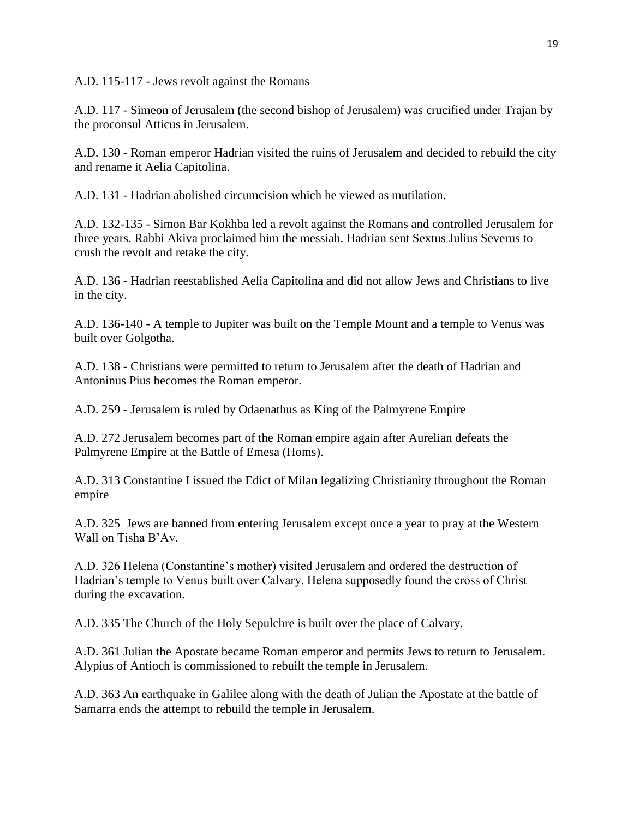A.D. 115-117 - Jews revolt against the Romans

A.D. 117 - Simeon of Jerusalem (the second bishop of Jerusalem) was crucified under Trajan by the proconsul Atticus in Jerusalem.

A.D. 130 - Roman emperor Hadrian visited the ruins of Jerusalem and decided to rebuild the city and rename it Aelia Capitolina.

A.D. 131 - Hadrian abolished circumcision which he viewed as mutilation.

A.D. 132-135 - Simon Bar Kokhba led a revolt against the Romans and controlled Jerusalem for three years. Rabbi Akiva proclaimed him the messiah. Hadrian sent Sextus Julius Severus to crush the revolt and retake the city.

A.D. 136 - Hadrian reestablished Aelia Capitolina and did not allow Jews and Christians to live in the city.

A.D. 136-140 - A temple to Jupiter was built on the Temple Mount and a temple to Venus was built over Golgotha.

A.D. 138 - Christians were permitted to return to Jerusalem after the death of Hadrian and Antoninus Pius becomes the Roman emperor.

A.D. 259 - Jerusalem is ruled by Odaenathus as King of the Palmyrene Empire

A.D. 272 Jerusalem becomes part of the Roman empire again after Aurelian defeats the Palmyrene Empire at the Battle of Emesa (Homs).

A.D. 313 Constantine I issued the Edict of Milan legalizing Christianity throughout the Roman empire

A.D. 325 Jews are banned from entering Jerusalem except once a year to pray at the Western Wall on Tisha B'Av.

A.D. 326 Helena (Constantine's mother) visited Jerusalem and ordered the destruction of Hadrian's temple to Venus built over Calvary. Helena supposedly found the cross of Christ during the excavation.

A.D. 335 The Church of the Holy Sepulchre is built over the place of Calvary.

A.D. 361 Julian the Apostate became Roman emperor and permits Jews to return to Jerusalem. Alypius of Antioch is commissioned to rebuilt the temple in Jerusalem.

A.D. 363 An earthquake in Galilee along with the death of Julian the Apostate at the battle of Samarra ends the attempt to rebuild the temple in Jerusalem.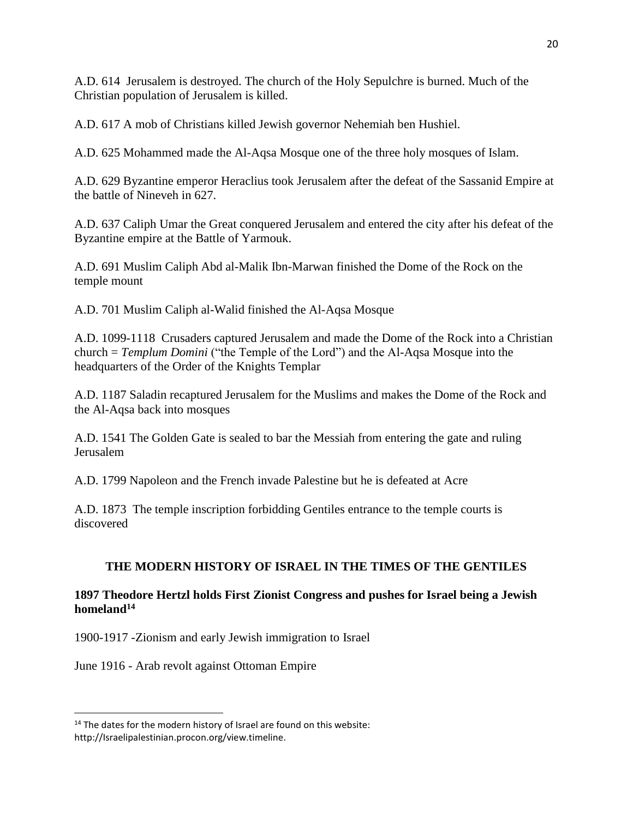A.D. 614 Jerusalem is destroyed. The church of the Holy Sepulchre is burned. Much of the Christian population of Jerusalem is killed.

A.D. 617 A mob of Christians killed Jewish governor Nehemiah ben Hushiel.

A.D. 625 Mohammed made the Al-Aqsa Mosque one of the three holy mosques of Islam.

A.D. 629 Byzantine emperor Heraclius took Jerusalem after the defeat of the Sassanid Empire at the battle of Nineveh in 627.

A.D. 637 Caliph Umar the Great conquered Jerusalem and entered the city after his defeat of the Byzantine empire at the Battle of Yarmouk.

A.D. 691 Muslim Caliph Abd al-Malik Ibn-Marwan finished the Dome of the Rock on the temple mount

A.D. 701 Muslim Caliph al-Walid finished the Al-Aqsa Mosque

A.D. 1099-1118 Crusaders captured Jerusalem and made the Dome of the Rock into a Christian church = *Templum Domini* ("the Temple of the Lord") and the Al-Aqsa Mosque into the headquarters of the Order of the Knights Templar

A.D. 1187 Saladin recaptured Jerusalem for the Muslims and makes the Dome of the Rock and the Al-Aqsa back into mosques

A.D. 1541 The Golden Gate is sealed to bar the Messiah from entering the gate and ruling Jerusalem

A.D. 1799 Napoleon and the French invade Palestine but he is defeated at Acre

A.D. 1873 The temple inscription forbidding Gentiles entrance to the temple courts is discovered

# **THE MODERN HISTORY OF ISRAEL IN THE TIMES OF THE GENTILES**

**1897 Theodore Hertzl holds First Zionist Congress and pushes for Israel being a Jewish homeland<sup>14</sup>**

1900-1917 -Zionism and early Jewish immigration to Israel

June 1916 - Arab revolt against Ottoman Empire

l  $14$  The dates for the modern history of Israel are found on this website: http://Israelipalestinian.procon.org/view.timeline.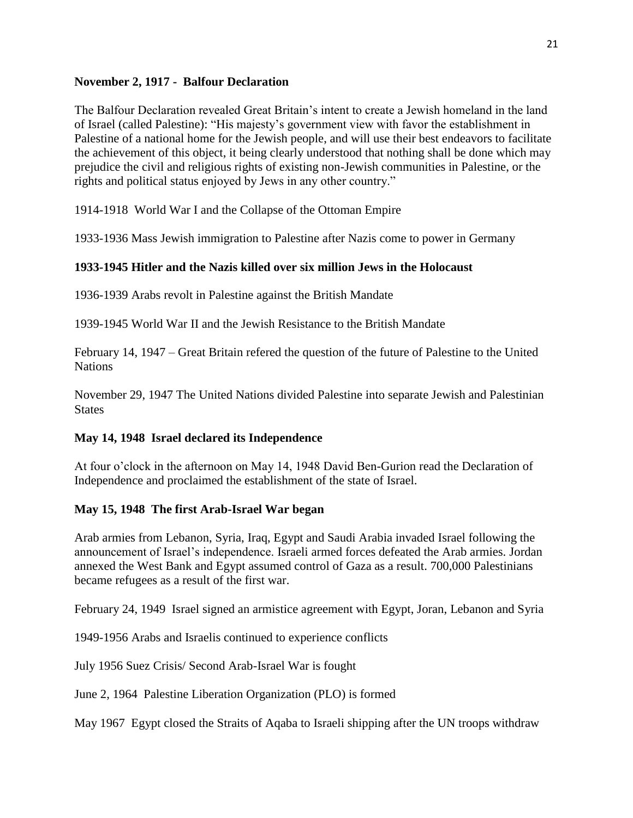#### **November 2, 1917 - Balfour Declaration**

The Balfour Declaration revealed Great Britain's intent to create a Jewish homeland in the land of Israel (called Palestine): "His majesty's government view with favor the establishment in Palestine of a national home for the Jewish people, and will use their best endeavors to facilitate the achievement of this object, it being clearly understood that nothing shall be done which may prejudice the civil and religious rights of existing non-Jewish communities in Palestine, or the rights and political status enjoyed by Jews in any other country."

1914-1918 World War I and the Collapse of the Ottoman Empire

1933-1936 Mass Jewish immigration to Palestine after Nazis come to power in Germany

# **1933-1945 Hitler and the Nazis killed over six million Jews in the Holocaust**

1936-1939 Arabs revolt in Palestine against the British Mandate

1939-1945 World War II and the Jewish Resistance to the British Mandate

February 14, 1947 – Great Britain refered the question of the future of Palestine to the United **Nations** 

November 29, 1947 The United Nations divided Palestine into separate Jewish and Palestinian **States** 

# **May 14, 1948 Israel declared its Independence**

At four o'clock in the afternoon on May 14, 1948 David Ben-Gurion read the Declaration of Independence and proclaimed the establishment of the state of Israel.

# **May 15, 1948 The first Arab-Israel War began**

Arab armies from Lebanon, Syria, Iraq, Egypt and Saudi Arabia invaded Israel following the announcement of Israel's independence. Israeli armed forces defeated the Arab armies. Jordan annexed the West Bank and Egypt assumed control of Gaza as a result. 700,000 Palestinians became refugees as a result of the first war.

February 24, 1949 Israel signed an armistice agreement with Egypt, Joran, Lebanon and Syria

1949-1956 Arabs and Israelis continued to experience conflicts

July 1956 Suez Crisis/ Second Arab-Israel War is fought

June 2, 1964 Palestine Liberation Organization (PLO) is formed

May 1967 Egypt closed the Straits of Aqaba to Israeli shipping after the UN troops withdraw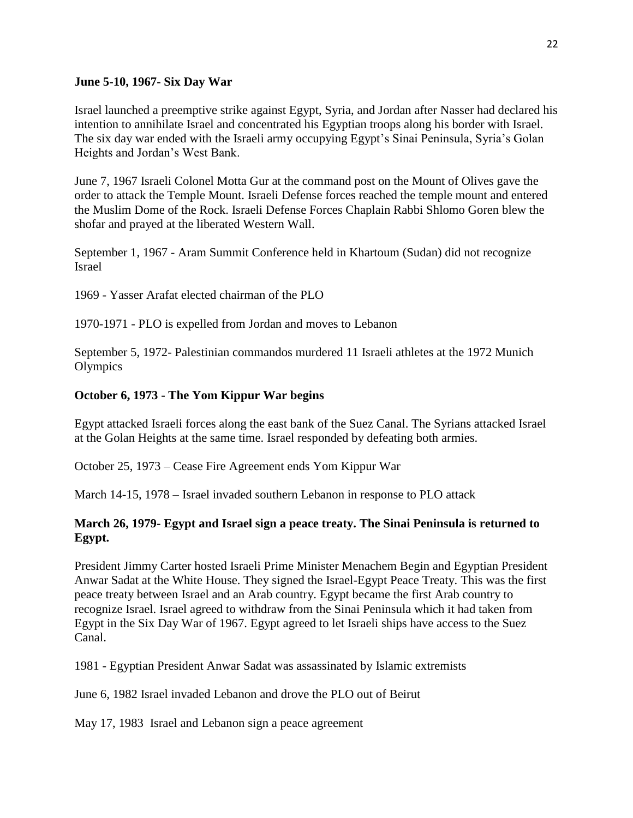#### **June 5-10, 1967- Six Day War**

Israel launched a preemptive strike against Egypt, Syria, and Jordan after Nasser had declared his intention to annihilate Israel and concentrated his Egyptian troops along his border with Israel. The six day war ended with the Israeli army occupying Egypt's Sinai Peninsula, Syria's Golan Heights and Jordan's West Bank.

June 7, 1967 Israeli Colonel Motta Gur at the command post on the Mount of Olives gave the order to attack the Temple Mount. Israeli Defense forces reached the temple mount and entered the Muslim Dome of the Rock. Israeli Defense Forces Chaplain Rabbi Shlomo Goren blew the shofar and prayed at the liberated Western Wall.

September 1, 1967 - Aram Summit Conference held in Khartoum (Sudan) did not recognize Israel

1969 - Yasser Arafat elected chairman of the PLO

1970-1971 - PLO is expelled from Jordan and moves to Lebanon

September 5, 1972- Palestinian commandos murdered 11 Israeli athletes at the 1972 Munich **Olympics** 

### **October 6, 1973 - The Yom Kippur War begins**

Egypt attacked Israeli forces along the east bank of the Suez Canal. The Syrians attacked Israel at the Golan Heights at the same time. Israel responded by defeating both armies.

October 25, 1973 – Cease Fire Agreement ends Yom Kippur War

March 14-15, 1978 – Israel invaded southern Lebanon in response to PLO attack

### **March 26, 1979- Egypt and Israel sign a peace treaty. The Sinai Peninsula is returned to Egypt.**

President Jimmy Carter hosted Israeli Prime Minister Menachem Begin and Egyptian President Anwar Sadat at the White House. They signed the Israel-Egypt Peace Treaty. This was the first peace treaty between Israel and an Arab country. Egypt became the first Arab country to recognize Israel. Israel agreed to withdraw from the Sinai Peninsula which it had taken from Egypt in the Six Day War of 1967. Egypt agreed to let Israeli ships have access to the Suez Canal.

1981 - Egyptian President Anwar Sadat was assassinated by Islamic extremists

June 6, 1982 Israel invaded Lebanon and drove the PLO out of Beirut

May 17, 1983 Israel and Lebanon sign a peace agreement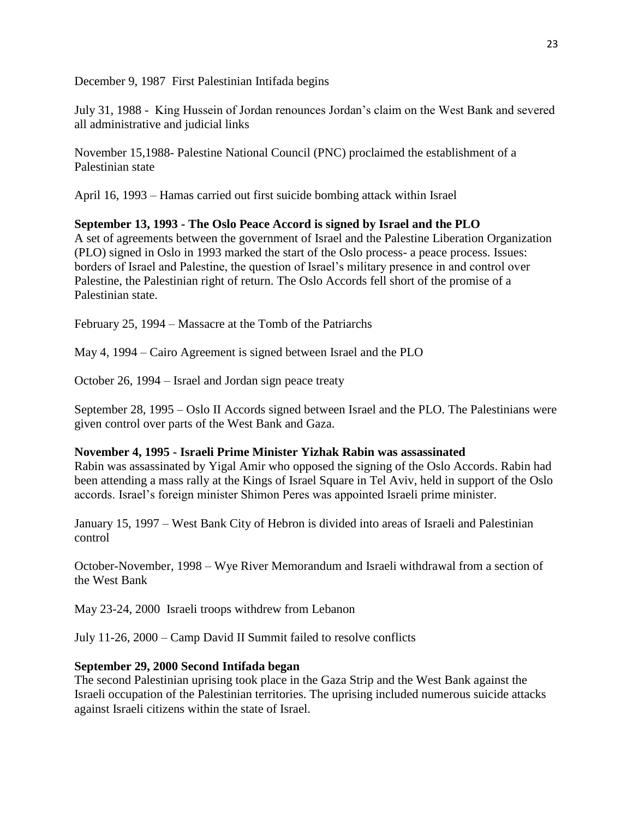December 9, 1987 First Palestinian Intifada begins

July 31, 1988 - King Hussein of Jordan renounces Jordan's claim on the West Bank and severed all administrative and judicial links

November 15,1988- Palestine National Council (PNC) proclaimed the establishment of a Palestinian state

April 16, 1993 – Hamas carried out first suicide bombing attack within Israel

### **September 13, 1993 - The Oslo Peace Accord is signed by Israel and the PLO**

A set of agreements between the government of Israel and the Palestine Liberation Organization (PLO) signed in Oslo in 1993 marked the start of the Oslo process- a peace process. Issues: borders of Israel and Palestine, the question of Israel's military presence in and control over Palestine, the Palestinian right of return. The Oslo Accords fell short of the promise of a Palestinian state.

February 25, 1994 – Massacre at the Tomb of the Patriarchs

May 4, 1994 – Cairo Agreement is signed between Israel and the PLO

October 26, 1994 – Israel and Jordan sign peace treaty

September 28, 1995 – Oslo II Accords signed between Israel and the PLO. The Palestinians were given control over parts of the West Bank and Gaza.

#### **November 4, 1995 - Israeli Prime Minister Yizhak Rabin was assassinated**

Rabin was assassinated by Yigal Amir who opposed the signing of the Oslo Accords. Rabin had been attending a mass rally at the Kings of Israel Square in Tel Aviv, held in support of the Oslo accords. Israel's foreign minister Shimon Peres was appointed Israeli prime minister.

January 15, 1997 – West Bank City of Hebron is divided into areas of Israeli and Palestinian control

October-November, 1998 – Wye River Memorandum and Israeli withdrawal from a section of the West Bank

May 23-24, 2000 Israeli troops withdrew from Lebanon

July 11-26, 2000 – Camp David II Summit failed to resolve conflicts

#### **September 29, 2000 Second Intifada began**

The second Palestinian uprising took place in the Gaza Strip and the West Bank against the Israeli occupation of the Palestinian territories. The uprising included numerous suicide attacks against Israeli citizens within the state of Israel.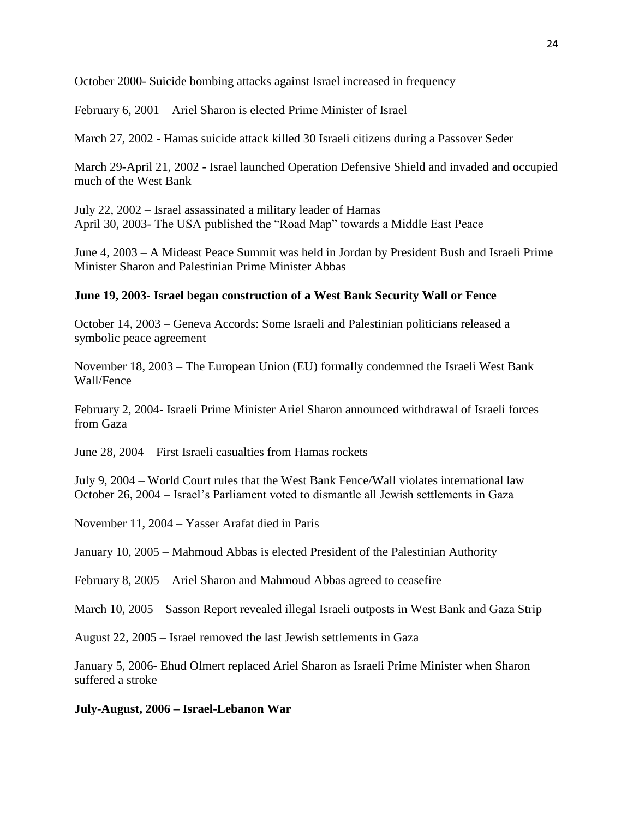October 2000- Suicide bombing attacks against Israel increased in frequency

February 6, 2001 – Ariel Sharon is elected Prime Minister of Israel

March 27, 2002 - Hamas suicide attack killed 30 Israeli citizens during a Passover Seder

March 29-April 21, 2002 - Israel launched Operation Defensive Shield and invaded and occupied much of the West Bank

July 22, 2002 – Israel assassinated a military leader of Hamas April 30, 2003- The USA published the "Road Map" towards a Middle East Peace

June 4, 2003 – A Mideast Peace Summit was held in Jordan by President Bush and Israeli Prime Minister Sharon and Palestinian Prime Minister Abbas

#### **June 19, 2003- Israel began construction of a West Bank Security Wall or Fence**

October 14, 2003 – Geneva Accords: Some Israeli and Palestinian politicians released a symbolic peace agreement

November 18, 2003 – The European Union (EU) formally condemned the Israeli West Bank Wall/Fence

February 2, 2004- Israeli Prime Minister Ariel Sharon announced withdrawal of Israeli forces from Gaza

June 28, 2004 – First Israeli casualties from Hamas rockets

July 9, 2004 – World Court rules that the West Bank Fence/Wall violates international law October 26, 2004 – Israel's Parliament voted to dismantle all Jewish settlements in Gaza

November 11, 2004 – Yasser Arafat died in Paris

January 10, 2005 – Mahmoud Abbas is elected President of the Palestinian Authority

February 8, 2005 – Ariel Sharon and Mahmoud Abbas agreed to ceasefire

March 10, 2005 – Sasson Report revealed illegal Israeli outposts in West Bank and Gaza Strip

August 22, 2005 – Israel removed the last Jewish settlements in Gaza

January 5, 2006- Ehud Olmert replaced Ariel Sharon as Israeli Prime Minister when Sharon suffered a stroke

**July-August, 2006 – Israel-Lebanon War**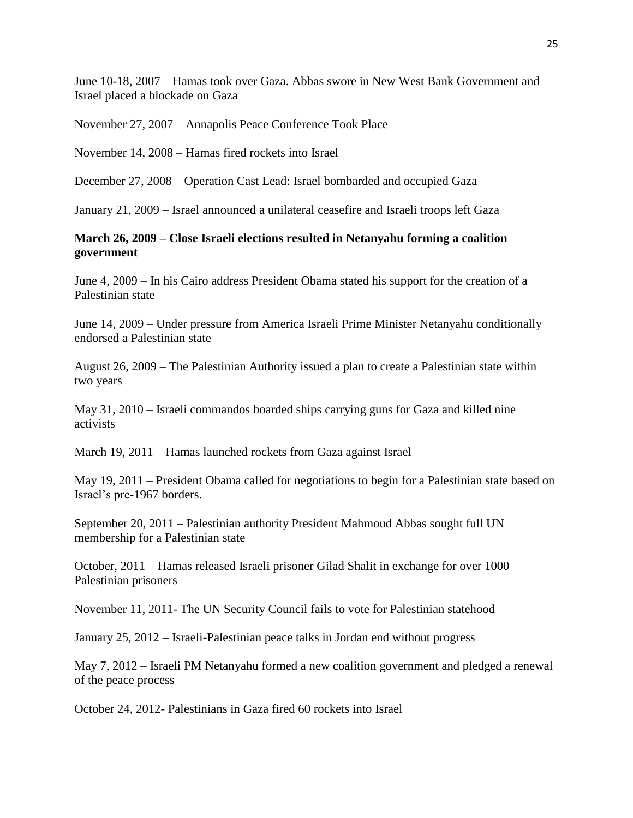June 10-18, 2007 – Hamas took over Gaza. Abbas swore in New West Bank Government and Israel placed a blockade on Gaza

November 27, 2007 – Annapolis Peace Conference Took Place

November 14, 2008 – Hamas fired rockets into Israel

December 27, 2008 – Operation Cast Lead: Israel bombarded and occupied Gaza

January 21, 2009 – Israel announced a unilateral ceasefire and Israeli troops left Gaza

#### **March 26, 2009 – Close Israeli elections resulted in Netanyahu forming a coalition government**

June 4, 2009 – In his Cairo address President Obama stated his support for the creation of a Palestinian state

June 14, 2009 – Under pressure from America Israeli Prime Minister Netanyahu conditionally endorsed a Palestinian state

August 26, 2009 – The Palestinian Authority issued a plan to create a Palestinian state within two years

May 31, 2010 – Israeli commandos boarded ships carrying guns for Gaza and killed nine activists

March 19, 2011 – Hamas launched rockets from Gaza against Israel

May 19, 2011 – President Obama called for negotiations to begin for a Palestinian state based on Israel's pre-1967 borders.

September 20, 2011 – Palestinian authority President Mahmoud Abbas sought full UN membership for a Palestinian state

October, 2011 – Hamas released Israeli prisoner Gilad Shalit in exchange for over 1000 Palestinian prisoners

November 11, 2011- The UN Security Council fails to vote for Palestinian statehood

January 25, 2012 – Israeli-Palestinian peace talks in Jordan end without progress

May 7, 2012 – Israeli PM Netanyahu formed a new coalition government and pledged a renewal of the peace process

October 24, 2012- Palestinians in Gaza fired 60 rockets into Israel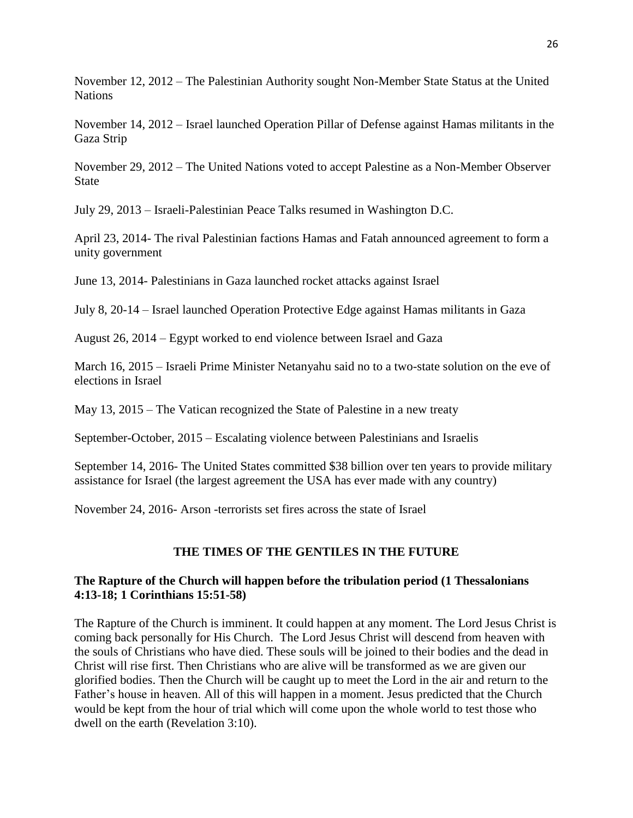November 12, 2012 – The Palestinian Authority sought Non-Member State Status at the United Nations

November 14, 2012 – Israel launched Operation Pillar of Defense against Hamas militants in the Gaza Strip

November 29, 2012 – The United Nations voted to accept Palestine as a Non-Member Observer **State** 

July 29, 2013 – Israeli-Palestinian Peace Talks resumed in Washington D.C.

April 23, 2014- The rival Palestinian factions Hamas and Fatah announced agreement to form a unity government

June 13, 2014- Palestinians in Gaza launched rocket attacks against Israel

July 8, 20-14 – Israel launched Operation Protective Edge against Hamas militants in Gaza

August 26, 2014 – Egypt worked to end violence between Israel and Gaza

March 16, 2015 – Israeli Prime Minister Netanyahu said no to a two-state solution on the eve of elections in Israel

May 13, 2015 – The Vatican recognized the State of Palestine in a new treaty

September-October, 2015 – Escalating violence between Palestinians and Israelis

September 14, 2016- The United States committed \$38 billion over ten years to provide military assistance for Israel (the largest agreement the USA has ever made with any country)

November 24, 2016- Arson -terrorists set fires across the state of Israel

# **THE TIMES OF THE GENTILES IN THE FUTURE**

### **The Rapture of the Church will happen before the tribulation period (1 Thessalonians 4:13-18; 1 Corinthians 15:51-58)**

The Rapture of the Church is imminent. It could happen at any moment. The Lord Jesus Christ is coming back personally for His Church. The Lord Jesus Christ will descend from heaven with the souls of Christians who have died. These souls will be joined to their bodies and the dead in Christ will rise first. Then Christians who are alive will be transformed as we are given our glorified bodies. Then the Church will be caught up to meet the Lord in the air and return to the Father's house in heaven. All of this will happen in a moment. Jesus predicted that the Church would be kept from the hour of trial which will come upon the whole world to test those who dwell on the earth (Revelation 3:10).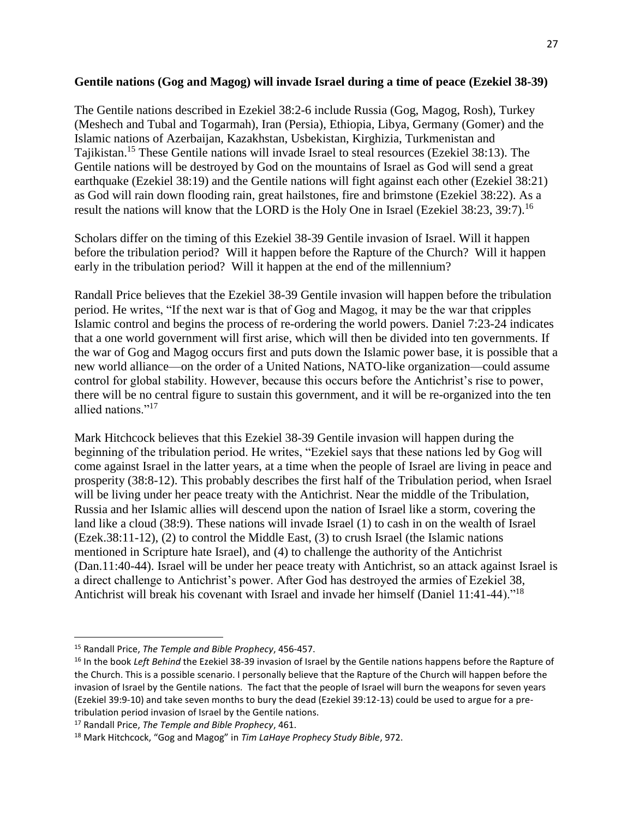### **Gentile nations (Gog and Magog) will invade Israel during a time of peace (Ezekiel 38-39)**

The Gentile nations described in Ezekiel 38:2-6 include Russia (Gog, Magog, Rosh), Turkey (Meshech and Tubal and Togarmah), Iran (Persia), Ethiopia, Libya, Germany (Gomer) and the Islamic nations of Azerbaijan, Kazakhstan, Usbekistan, Kirghizia, Turkmenistan and Tajikistan.<sup>15</sup> These Gentile nations will invade Israel to steal resources (Ezekiel 38:13). The Gentile nations will be destroyed by God on the mountains of Israel as God will send a great earthquake (Ezekiel 38:19) and the Gentile nations will fight against each other (Ezekiel 38:21) as God will rain down flooding rain, great hailstones, fire and brimstone (Ezekiel 38:22). As a result the nations will know that the LORD is the Holy One in Israel (Ezekiel 38:23, 39:7).<sup>16</sup>

Scholars differ on the timing of this Ezekiel 38-39 Gentile invasion of Israel. Will it happen before the tribulation period? Will it happen before the Rapture of the Church? Will it happen early in the tribulation period? Will it happen at the end of the millennium?

Randall Price believes that the Ezekiel 38-39 Gentile invasion will happen before the tribulation period. He writes, "If the next war is that of Gog and Magog, it may be the war that cripples Islamic control and begins the process of re-ordering the world powers. Daniel 7:23-24 indicates that a one world government will first arise, which will then be divided into ten governments. If the war of Gog and Magog occurs first and puts down the Islamic power base, it is possible that a new world alliance—on the order of a United Nations, NATO-like organization—could assume control for global stability. However, because this occurs before the Antichrist's rise to power, there will be no central figure to sustain this government, and it will be re-organized into the ten allied nations."<sup>17</sup>

Mark Hitchcock believes that this Ezekiel 38-39 Gentile invasion will happen during the beginning of the tribulation period. He writes, "Ezekiel says that these nations led by Gog will come against Israel in the latter years, at a time when the people of Israel are living in peace and prosperity (38:8-12). This probably describes the first half of the Tribulation period, when Israel will be living under her peace treaty with the Antichrist. Near the middle of the Tribulation, Russia and her Islamic allies will descend upon the nation of Israel like a storm, covering the land like a cloud (38:9). These nations will invade Israel (1) to cash in on the wealth of Israel (Ezek.38:11-12), (2) to control the Middle East, (3) to crush Israel (the Islamic nations mentioned in Scripture hate Israel), and (4) to challenge the authority of the Antichrist (Dan.11:40-44). Israel will be under her peace treaty with Antichrist, so an attack against Israel is a direct challenge to Antichrist's power. After God has destroyed the armies of Ezekiel 38, Antichrist will break his covenant with Israel and invade her himself (Daniel 11:41-44)."<sup>18</sup>

<sup>15</sup> Randall Price, *The Temple and Bible Prophecy*, 456-457.

<sup>16</sup> In the book *Left Behind* the Ezekiel 38-39 invasion of Israel by the Gentile nations happens before the Rapture of the Church. This is a possible scenario. I personally believe that the Rapture of the Church will happen before the invasion of Israel by the Gentile nations. The fact that the people of Israel will burn the weapons for seven years (Ezekiel 39:9-10) and take seven months to bury the dead (Ezekiel 39:12-13) could be used to argue for a pretribulation period invasion of Israel by the Gentile nations.

<sup>17</sup> Randall Price, *The Temple and Bible Prophecy*, 461.

<sup>18</sup> Mark Hitchcock, "Gog and Magog" in *Tim LaHaye Prophecy Study Bible*, 972.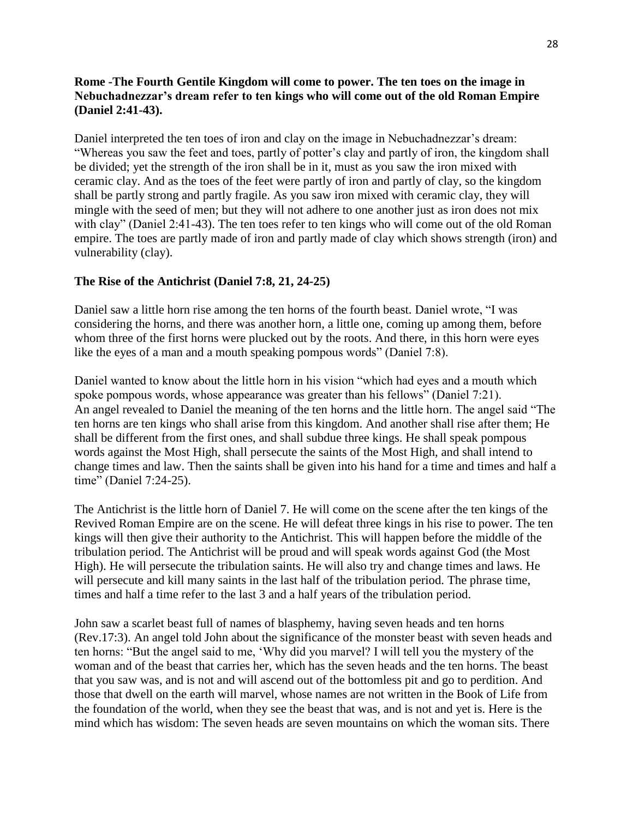### **Rome -The Fourth Gentile Kingdom will come to power. The ten toes on the image in Nebuchadnezzar's dream refer to ten kings who will come out of the old Roman Empire (Daniel 2:41-43).**

Daniel interpreted the ten toes of iron and clay on the image in Nebuchadnezzar's dream: "Whereas you saw the feet and toes, partly of potter's clay and partly of iron, the kingdom shall be divided; yet the strength of the iron shall be in it, must as you saw the iron mixed with ceramic clay. And as the toes of the feet were partly of iron and partly of clay, so the kingdom shall be partly strong and partly fragile. As you saw iron mixed with ceramic clay, they will mingle with the seed of men; but they will not adhere to one another just as iron does not mix with clay" (Daniel 2:41-43). The ten toes refer to ten kings who will come out of the old Roman empire. The toes are partly made of iron and partly made of clay which shows strength (iron) and vulnerability (clay).

### **The Rise of the Antichrist (Daniel 7:8, 21, 24-25)**

Daniel saw a little horn rise among the ten horns of the fourth beast. Daniel wrote, "I was considering the horns, and there was another horn, a little one, coming up among them, before whom three of the first horns were plucked out by the roots. And there, in this horn were eyes like the eyes of a man and a mouth speaking pompous words" (Daniel 7:8).

Daniel wanted to know about the little horn in his vision "which had eyes and a mouth which spoke pompous words, whose appearance was greater than his fellows" (Daniel 7:21). An angel revealed to Daniel the meaning of the ten horns and the little horn. The angel said "The ten horns are ten kings who shall arise from this kingdom. And another shall rise after them; He shall be different from the first ones, and shall subdue three kings. He shall speak pompous words against the Most High, shall persecute the saints of the Most High, and shall intend to change times and law. Then the saints shall be given into his hand for a time and times and half a time" (Daniel 7:24-25).

The Antichrist is the little horn of Daniel 7. He will come on the scene after the ten kings of the Revived Roman Empire are on the scene. He will defeat three kings in his rise to power. The ten kings will then give their authority to the Antichrist. This will happen before the middle of the tribulation period. The Antichrist will be proud and will speak words against God (the Most High). He will persecute the tribulation saints. He will also try and change times and laws. He will persecute and kill many saints in the last half of the tribulation period. The phrase time, times and half a time refer to the last 3 and a half years of the tribulation period.

John saw a scarlet beast full of names of blasphemy, having seven heads and ten horns (Rev.17:3). An angel told John about the significance of the monster beast with seven heads and ten horns: "But the angel said to me, 'Why did you marvel? I will tell you the mystery of the woman and of the beast that carries her, which has the seven heads and the ten horns. The beast that you saw was, and is not and will ascend out of the bottomless pit and go to perdition. And those that dwell on the earth will marvel, whose names are not written in the Book of Life from the foundation of the world, when they see the beast that was, and is not and yet is. Here is the mind which has wisdom: The seven heads are seven mountains on which the woman sits. There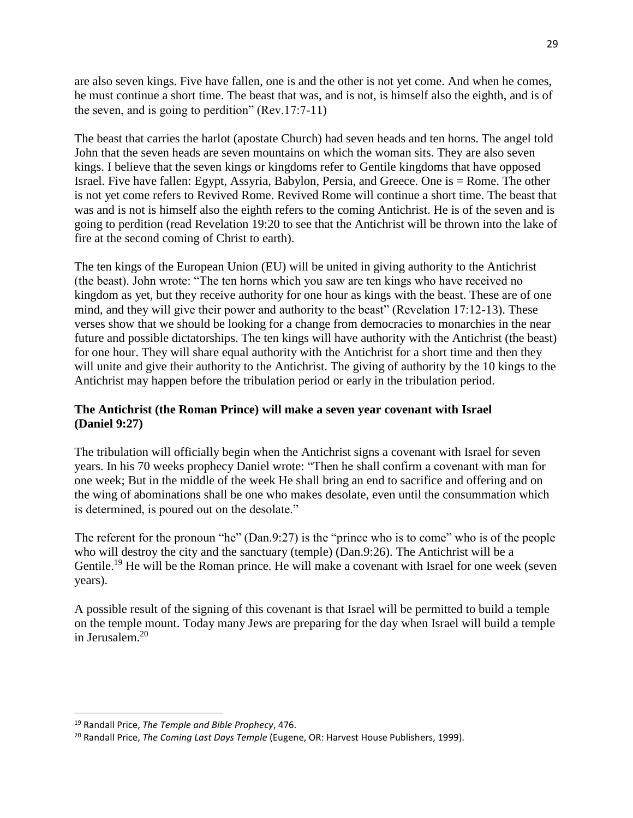are also seven kings. Five have fallen, one is and the other is not yet come. And when he comes, he must continue a short time. The beast that was, and is not, is himself also the eighth, and is of the seven, and is going to perdition" (Rev.17:7-11)

The beast that carries the harlot (apostate Church) had seven heads and ten horns. The angel told John that the seven heads are seven mountains on which the woman sits. They are also seven kings. I believe that the seven kings or kingdoms refer to Gentile kingdoms that have opposed Israel. Five have fallen: Egypt, Assyria, Babylon, Persia, and Greece. One is = Rome. The other is not yet come refers to Revived Rome. Revived Rome will continue a short time. The beast that was and is not is himself also the eighth refers to the coming Antichrist. He is of the seven and is going to perdition (read Revelation 19:20 to see that the Antichrist will be thrown into the lake of fire at the second coming of Christ to earth).

The ten kings of the European Union (EU) will be united in giving authority to the Antichrist (the beast). John wrote: "The ten horns which you saw are ten kings who have received no kingdom as yet, but they receive authority for one hour as kings with the beast. These are of one mind, and they will give their power and authority to the beast" (Revelation 17:12-13). These verses show that we should be looking for a change from democracies to monarchies in the near future and possible dictatorships. The ten kings will have authority with the Antichrist (the beast) for one hour. They will share equal authority with the Antichrist for a short time and then they will unite and give their authority to the Antichrist. The giving of authority by the 10 kings to the Antichrist may happen before the tribulation period or early in the tribulation period.

# **The Antichrist (the Roman Prince) will make a seven year covenant with Israel (Daniel 9:27)**

The tribulation will officially begin when the Antichrist signs a covenant with Israel for seven years. In his 70 weeks prophecy Daniel wrote: "Then he shall confirm a covenant with man for one week; But in the middle of the week He shall bring an end to sacrifice and offering and on the wing of abominations shall be one who makes desolate, even until the consummation which is determined, is poured out on the desolate."

The referent for the pronoun "he" (Dan.9:27) is the "prince who is to come" who is of the people who will destroy the city and the sanctuary (temple) (Dan.9:26). The Antichrist will be a Gentile.<sup>19</sup> He will be the Roman prince. He will make a covenant with Israel for one week (seven years).

A possible result of the signing of this covenant is that Israel will be permitted to build a temple on the temple mount. Today many Jews are preparing for the day when Israel will build a temple in Jerusalem.<sup>20</sup>

l

<sup>19</sup> Randall Price, *The Temple and Bible Prophecy*, 476.

<sup>20</sup> Randall Price, *The Coming Last Days Temple* (Eugene, OR: Harvest House Publishers, 1999).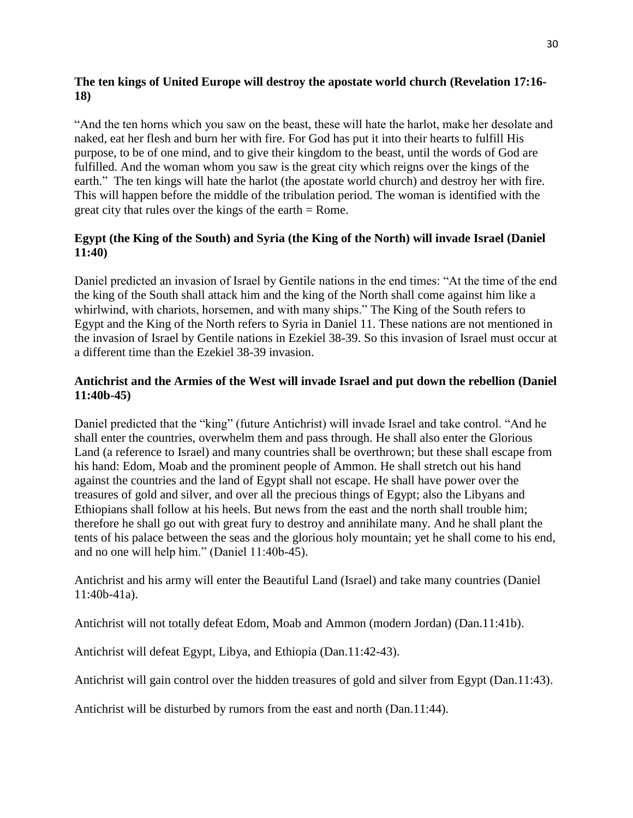# **The ten kings of United Europe will destroy the apostate world church (Revelation 17:16- 18)**

"And the ten horns which you saw on the beast, these will hate the harlot, make her desolate and naked, eat her flesh and burn her with fire. For God has put it into their hearts to fulfill His purpose, to be of one mind, and to give their kingdom to the beast, until the words of God are fulfilled. And the woman whom you saw is the great city which reigns over the kings of the earth." The ten kings will hate the harlot (the apostate world church) and destroy her with fire. This will happen before the middle of the tribulation period. The woman is identified with the great city that rules over the kings of the earth = Rome.

# **Egypt (the King of the South) and Syria (the King of the North) will invade Israel (Daniel 11:40)**

Daniel predicted an invasion of Israel by Gentile nations in the end times: "At the time of the end the king of the South shall attack him and the king of the North shall come against him like a whirlwind, with chariots, horsemen, and with many ships." The King of the South refers to Egypt and the King of the North refers to Syria in Daniel 11. These nations are not mentioned in the invasion of Israel by Gentile nations in Ezekiel 38-39. So this invasion of Israel must occur at a different time than the Ezekiel 38-39 invasion.

# **Antichrist and the Armies of the West will invade Israel and put down the rebellion (Daniel 11:40b-45)**

Daniel predicted that the "king" (future Antichrist) will invade Israel and take control. "And he shall enter the countries, overwhelm them and pass through. He shall also enter the Glorious Land (a reference to Israel) and many countries shall be overthrown; but these shall escape from his hand: Edom, Moab and the prominent people of Ammon. He shall stretch out his hand against the countries and the land of Egypt shall not escape. He shall have power over the treasures of gold and silver, and over all the precious things of Egypt; also the Libyans and Ethiopians shall follow at his heels. But news from the east and the north shall trouble him; therefore he shall go out with great fury to destroy and annihilate many. And he shall plant the tents of his palace between the seas and the glorious holy mountain; yet he shall come to his end, and no one will help him." (Daniel 11:40b-45).

Antichrist and his army will enter the Beautiful Land (Israel) and take many countries (Daniel 11:40b-41a).

Antichrist will not totally defeat Edom, Moab and Ammon (modern Jordan) (Dan.11:41b).

Antichrist will defeat Egypt, Libya, and Ethiopia (Dan.11:42-43).

Antichrist will gain control over the hidden treasures of gold and silver from Egypt (Dan.11:43).

Antichrist will be disturbed by rumors from the east and north (Dan.11:44).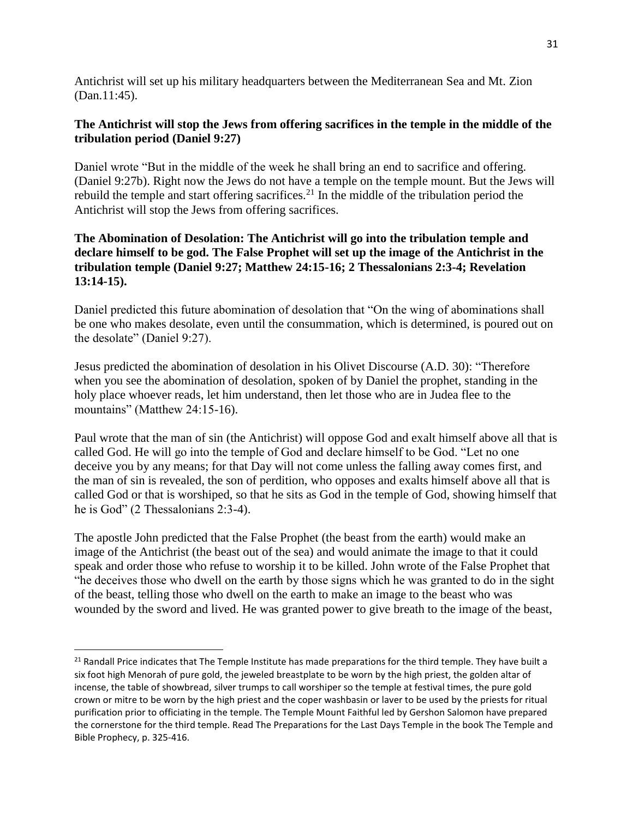Antichrist will set up his military headquarters between the Mediterranean Sea and Mt. Zion (Dan.11:45).

# **The Antichrist will stop the Jews from offering sacrifices in the temple in the middle of the tribulation period (Daniel 9:27)**

Daniel wrote "But in the middle of the week he shall bring an end to sacrifice and offering. (Daniel 9:27b). Right now the Jews do not have a temple on the temple mount. But the Jews will rebuild the temple and start offering sacrifices.<sup>21</sup> In the middle of the tribulation period the Antichrist will stop the Jews from offering sacrifices.

# **The Abomination of Desolation: The Antichrist will go into the tribulation temple and declare himself to be god. The False Prophet will set up the image of the Antichrist in the tribulation temple (Daniel 9:27; Matthew 24:15-16; 2 Thessalonians 2:3-4; Revelation 13:14-15).**

Daniel predicted this future abomination of desolation that "On the wing of abominations shall be one who makes desolate, even until the consummation, which is determined, is poured out on the desolate" (Daniel 9:27).

Jesus predicted the abomination of desolation in his Olivet Discourse (A.D. 30): "Therefore when you see the abomination of desolation, spoken of by Daniel the prophet, standing in the holy place whoever reads, let him understand, then let those who are in Judea flee to the mountains" (Matthew 24:15-16).

Paul wrote that the man of sin (the Antichrist) will oppose God and exalt himself above all that is called God. He will go into the temple of God and declare himself to be God. "Let no one deceive you by any means; for that Day will not come unless the falling away comes first, and the man of sin is revealed, the son of perdition, who opposes and exalts himself above all that is called God or that is worshiped, so that he sits as God in the temple of God, showing himself that he is God" (2 Thessalonians 2:3-4).

The apostle John predicted that the False Prophet (the beast from the earth) would make an image of the Antichrist (the beast out of the sea) and would animate the image to that it could speak and order those who refuse to worship it to be killed. John wrote of the False Prophet that "he deceives those who dwell on the earth by those signs which he was granted to do in the sight of the beast, telling those who dwell on the earth to make an image to the beast who was wounded by the sword and lived. He was granted power to give breath to the image of the beast,

<sup>&</sup>lt;sup>21</sup> Randall Price indicates that The Temple Institute has made preparations for the third temple. They have built a six foot high Menorah of pure gold, the jeweled breastplate to be worn by the high priest, the golden altar of incense, the table of showbread, silver trumps to call worshiper so the temple at festival times, the pure gold crown or mitre to be worn by the high priest and the coper washbasin or laver to be used by the priests for ritual purification prior to officiating in the temple. The Temple Mount Faithful led by Gershon Salomon have prepared the cornerstone for the third temple. Read The Preparations for the Last Days Temple in the book The Temple and Bible Prophecy, p. 325-416.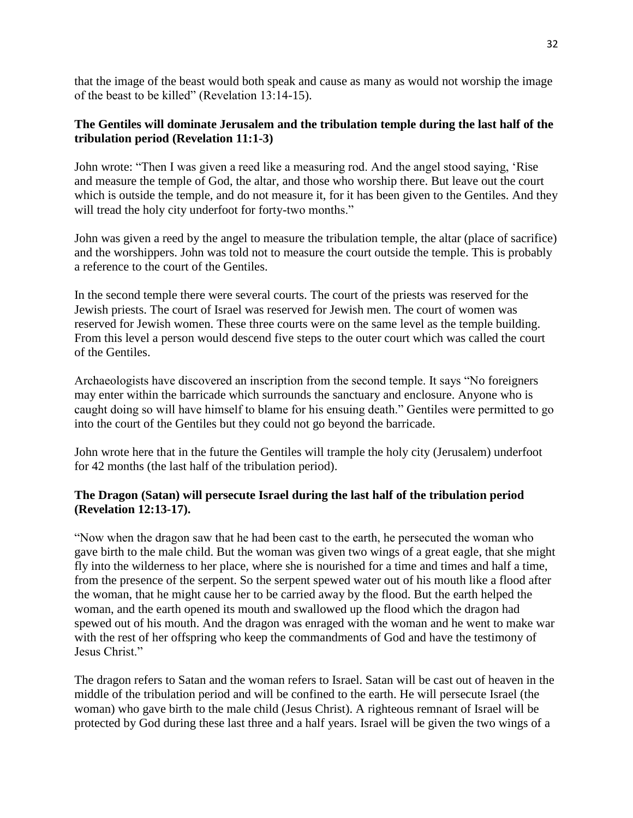that the image of the beast would both speak and cause as many as would not worship the image of the beast to be killed" (Revelation 13:14-15).

### **The Gentiles will dominate Jerusalem and the tribulation temple during the last half of the tribulation period (Revelation 11:1-3)**

John wrote: "Then I was given a reed like a measuring rod. And the angel stood saying, 'Rise and measure the temple of God, the altar, and those who worship there. But leave out the court which is outside the temple, and do not measure it, for it has been given to the Gentiles. And they will tread the holy city underfoot for forty-two months."

John was given a reed by the angel to measure the tribulation temple, the altar (place of sacrifice) and the worshippers. John was told not to measure the court outside the temple. This is probably a reference to the court of the Gentiles.

In the second temple there were several courts. The court of the priests was reserved for the Jewish priests. The court of Israel was reserved for Jewish men. The court of women was reserved for Jewish women. These three courts were on the same level as the temple building. From this level a person would descend five steps to the outer court which was called the court of the Gentiles.

Archaeologists have discovered an inscription from the second temple. It says "No foreigners may enter within the barricade which surrounds the sanctuary and enclosure. Anyone who is caught doing so will have himself to blame for his ensuing death." Gentiles were permitted to go into the court of the Gentiles but they could not go beyond the barricade.

John wrote here that in the future the Gentiles will trample the holy city (Jerusalem) underfoot for 42 months (the last half of the tribulation period).

# **The Dragon (Satan) will persecute Israel during the last half of the tribulation period (Revelation 12:13-17).**

"Now when the dragon saw that he had been cast to the earth, he persecuted the woman who gave birth to the male child. But the woman was given two wings of a great eagle, that she might fly into the wilderness to her place, where she is nourished for a time and times and half a time, from the presence of the serpent. So the serpent spewed water out of his mouth like a flood after the woman, that he might cause her to be carried away by the flood. But the earth helped the woman, and the earth opened its mouth and swallowed up the flood which the dragon had spewed out of his mouth. And the dragon was enraged with the woman and he went to make war with the rest of her offspring who keep the commandments of God and have the testimony of Jesus Christ."

The dragon refers to Satan and the woman refers to Israel. Satan will be cast out of heaven in the middle of the tribulation period and will be confined to the earth. He will persecute Israel (the woman) who gave birth to the male child (Jesus Christ). A righteous remnant of Israel will be protected by God during these last three and a half years. Israel will be given the two wings of a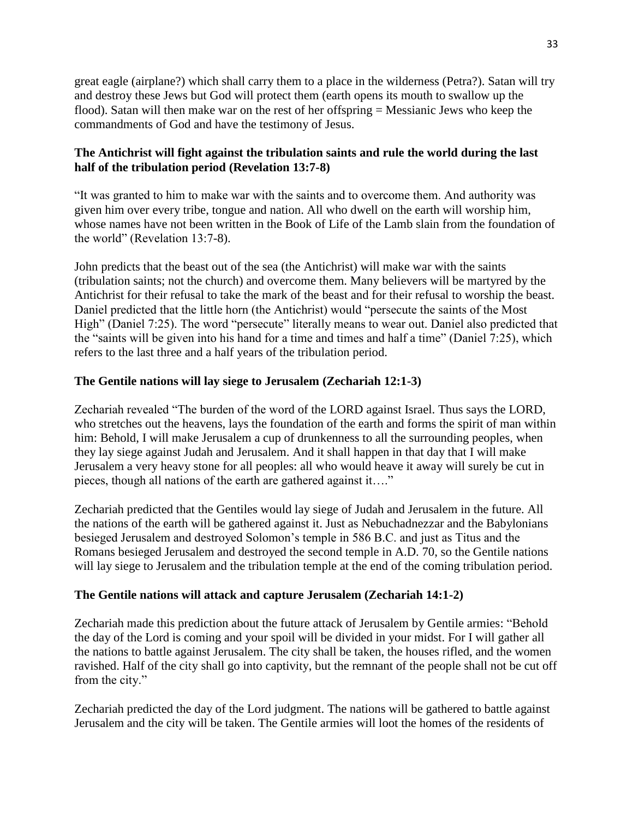great eagle (airplane?) which shall carry them to a place in the wilderness (Petra?). Satan will try and destroy these Jews but God will protect them (earth opens its mouth to swallow up the flood). Satan will then make war on the rest of her offspring = Messianic Jews who keep the commandments of God and have the testimony of Jesus.

# **The Antichrist will fight against the tribulation saints and rule the world during the last half of the tribulation period (Revelation 13:7-8)**

"It was granted to him to make war with the saints and to overcome them. And authority was given him over every tribe, tongue and nation. All who dwell on the earth will worship him, whose names have not been written in the Book of Life of the Lamb slain from the foundation of the world" (Revelation 13:7-8).

John predicts that the beast out of the sea (the Antichrist) will make war with the saints (tribulation saints; not the church) and overcome them. Many believers will be martyred by the Antichrist for their refusal to take the mark of the beast and for their refusal to worship the beast. Daniel predicted that the little horn (the Antichrist) would "persecute the saints of the Most High" (Daniel 7:25). The word "persecute" literally means to wear out. Daniel also predicted that the "saints will be given into his hand for a time and times and half a time" (Daniel 7:25), which refers to the last three and a half years of the tribulation period.

# **The Gentile nations will lay siege to Jerusalem (Zechariah 12:1-3)**

Zechariah revealed "The burden of the word of the LORD against Israel. Thus says the LORD, who stretches out the heavens, lays the foundation of the earth and forms the spirit of man within him: Behold, I will make Jerusalem a cup of drunkenness to all the surrounding peoples, when they lay siege against Judah and Jerusalem. And it shall happen in that day that I will make Jerusalem a very heavy stone for all peoples: all who would heave it away will surely be cut in pieces, though all nations of the earth are gathered against it…."

Zechariah predicted that the Gentiles would lay siege of Judah and Jerusalem in the future. All the nations of the earth will be gathered against it. Just as Nebuchadnezzar and the Babylonians besieged Jerusalem and destroyed Solomon's temple in 586 B.C. and just as Titus and the Romans besieged Jerusalem and destroyed the second temple in A.D. 70, so the Gentile nations will lay siege to Jerusalem and the tribulation temple at the end of the coming tribulation period.

#### **The Gentile nations will attack and capture Jerusalem (Zechariah 14:1-2)**

Zechariah made this prediction about the future attack of Jerusalem by Gentile armies: "Behold the day of the Lord is coming and your spoil will be divided in your midst. For I will gather all the nations to battle against Jerusalem. The city shall be taken, the houses rifled, and the women ravished. Half of the city shall go into captivity, but the remnant of the people shall not be cut off from the city."

Zechariah predicted the day of the Lord judgment. The nations will be gathered to battle against Jerusalem and the city will be taken. The Gentile armies will loot the homes of the residents of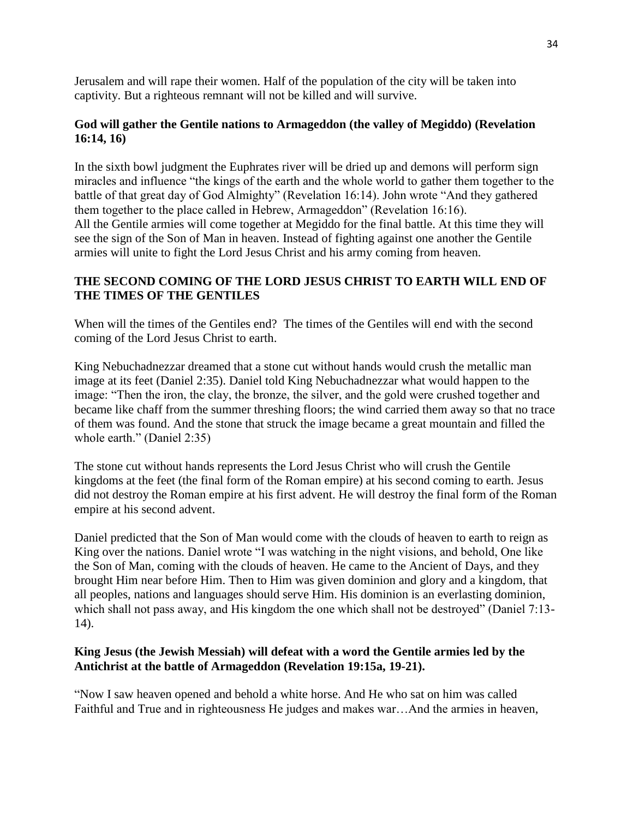Jerusalem and will rape their women. Half of the population of the city will be taken into captivity. But a righteous remnant will not be killed and will survive.

# **God will gather the Gentile nations to Armageddon (the valley of Megiddo) (Revelation 16:14, 16)**

In the sixth bowl judgment the Euphrates river will be dried up and demons will perform sign miracles and influence "the kings of the earth and the whole world to gather them together to the battle of that great day of God Almighty" (Revelation 16:14). John wrote "And they gathered them together to the place called in Hebrew, Armageddon" (Revelation 16:16). All the Gentile armies will come together at Megiddo for the final battle. At this time they will see the sign of the Son of Man in heaven. Instead of fighting against one another the Gentile armies will unite to fight the Lord Jesus Christ and his army coming from heaven.

# **THE SECOND COMING OF THE LORD JESUS CHRIST TO EARTH WILL END OF THE TIMES OF THE GENTILES**

When will the times of the Gentiles end? The times of the Gentiles will end with the second coming of the Lord Jesus Christ to earth.

King Nebuchadnezzar dreamed that a stone cut without hands would crush the metallic man image at its feet (Daniel 2:35). Daniel told King Nebuchadnezzar what would happen to the image: "Then the iron, the clay, the bronze, the silver, and the gold were crushed together and became like chaff from the summer threshing floors; the wind carried them away so that no trace of them was found. And the stone that struck the image became a great mountain and filled the whole earth." (Daniel 2:35)

The stone cut without hands represents the Lord Jesus Christ who will crush the Gentile kingdoms at the feet (the final form of the Roman empire) at his second coming to earth. Jesus did not destroy the Roman empire at his first advent. He will destroy the final form of the Roman empire at his second advent.

Daniel predicted that the Son of Man would come with the clouds of heaven to earth to reign as King over the nations. Daniel wrote "I was watching in the night visions, and behold, One like the Son of Man, coming with the clouds of heaven. He came to the Ancient of Days, and they brought Him near before Him. Then to Him was given dominion and glory and a kingdom, that all peoples, nations and languages should serve Him. His dominion is an everlasting dominion, which shall not pass away, and His kingdom the one which shall not be destroyed" (Daniel 7:13-14).

### **King Jesus (the Jewish Messiah) will defeat with a word the Gentile armies led by the Antichrist at the battle of Armageddon (Revelation 19:15a, 19-21).**

"Now I saw heaven opened and behold a white horse. And He who sat on him was called Faithful and True and in righteousness He judges and makes war…And the armies in heaven,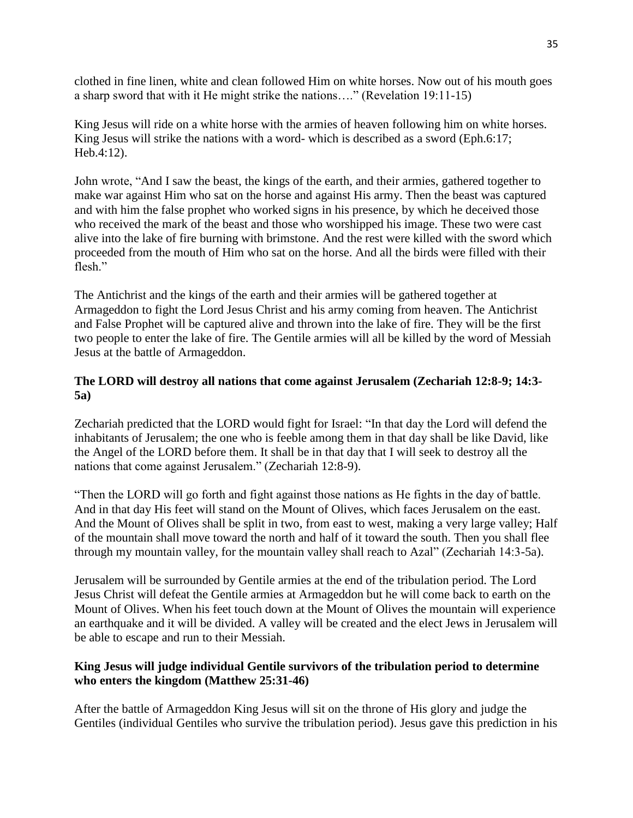clothed in fine linen, white and clean followed Him on white horses. Now out of his mouth goes a sharp sword that with it He might strike the nations…." (Revelation 19:11-15)

King Jesus will ride on a white horse with the armies of heaven following him on white horses. King Jesus will strike the nations with a word- which is described as a sword (Eph.6:17; Heb.4:12).

John wrote, "And I saw the beast, the kings of the earth, and their armies, gathered together to make war against Him who sat on the horse and against His army. Then the beast was captured and with him the false prophet who worked signs in his presence, by which he deceived those who received the mark of the beast and those who worshipped his image. These two were cast alive into the lake of fire burning with brimstone. And the rest were killed with the sword which proceeded from the mouth of Him who sat on the horse. And all the birds were filled with their flesh."

The Antichrist and the kings of the earth and their armies will be gathered together at Armageddon to fight the Lord Jesus Christ and his army coming from heaven. The Antichrist and False Prophet will be captured alive and thrown into the lake of fire. They will be the first two people to enter the lake of fire. The Gentile armies will all be killed by the word of Messiah Jesus at the battle of Armageddon.

# **The LORD will destroy all nations that come against Jerusalem (Zechariah 12:8-9; 14:3- 5a)**

Zechariah predicted that the LORD would fight for Israel: "In that day the Lord will defend the inhabitants of Jerusalem; the one who is feeble among them in that day shall be like David, like the Angel of the LORD before them. It shall be in that day that I will seek to destroy all the nations that come against Jerusalem." (Zechariah 12:8-9).

"Then the LORD will go forth and fight against those nations as He fights in the day of battle. And in that day His feet will stand on the Mount of Olives, which faces Jerusalem on the east. And the Mount of Olives shall be split in two, from east to west, making a very large valley; Half of the mountain shall move toward the north and half of it toward the south. Then you shall flee through my mountain valley, for the mountain valley shall reach to Azal" (Zechariah 14:3-5a).

Jerusalem will be surrounded by Gentile armies at the end of the tribulation period. The Lord Jesus Christ will defeat the Gentile armies at Armageddon but he will come back to earth on the Mount of Olives. When his feet touch down at the Mount of Olives the mountain will experience an earthquake and it will be divided. A valley will be created and the elect Jews in Jerusalem will be able to escape and run to their Messiah.

# **King Jesus will judge individual Gentile survivors of the tribulation period to determine who enters the kingdom (Matthew 25:31-46)**

After the battle of Armageddon King Jesus will sit on the throne of His glory and judge the Gentiles (individual Gentiles who survive the tribulation period). Jesus gave this prediction in his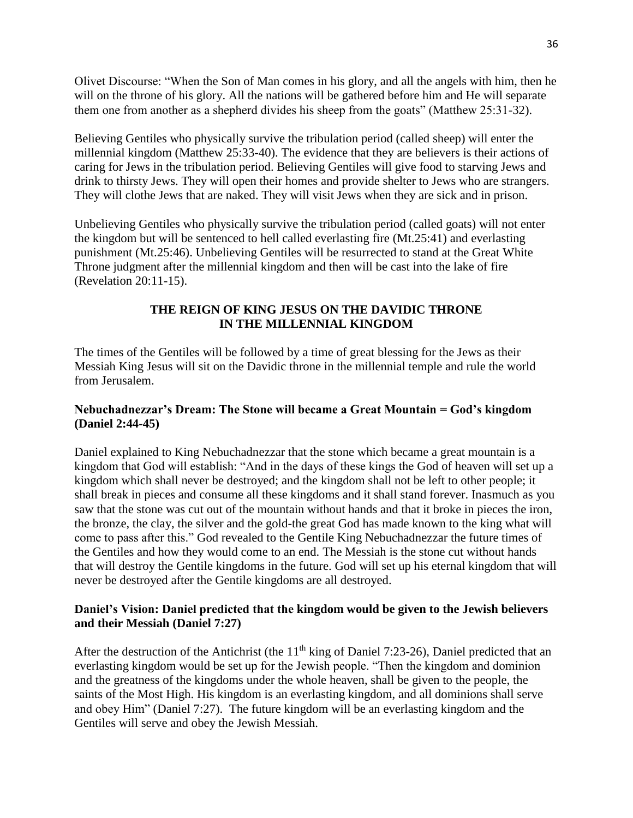Olivet Discourse: "When the Son of Man comes in his glory, and all the angels with him, then he will on the throne of his glory. All the nations will be gathered before him and He will separate them one from another as a shepherd divides his sheep from the goats" (Matthew 25:31-32).

Believing Gentiles who physically survive the tribulation period (called sheep) will enter the millennial kingdom (Matthew 25:33-40). The evidence that they are believers is their actions of caring for Jews in the tribulation period. Believing Gentiles will give food to starving Jews and drink to thirsty Jews. They will open their homes and provide shelter to Jews who are strangers. They will clothe Jews that are naked. They will visit Jews when they are sick and in prison.

Unbelieving Gentiles who physically survive the tribulation period (called goats) will not enter the kingdom but will be sentenced to hell called everlasting fire (Mt.25:41) and everlasting punishment (Mt.25:46). Unbelieving Gentiles will be resurrected to stand at the Great White Throne judgment after the millennial kingdom and then will be cast into the lake of fire (Revelation 20:11-15).

# **THE REIGN OF KING JESUS ON THE DAVIDIC THRONE IN THE MILLENNIAL KINGDOM**

The times of the Gentiles will be followed by a time of great blessing for the Jews as their Messiah King Jesus will sit on the Davidic throne in the millennial temple and rule the world from Jerusalem.

### **Nebuchadnezzar's Dream: The Stone will became a Great Mountain = God's kingdom (Daniel 2:44-45)**

Daniel explained to King Nebuchadnezzar that the stone which became a great mountain is a kingdom that God will establish: "And in the days of these kings the God of heaven will set up a kingdom which shall never be destroyed; and the kingdom shall not be left to other people; it shall break in pieces and consume all these kingdoms and it shall stand forever. Inasmuch as you saw that the stone was cut out of the mountain without hands and that it broke in pieces the iron, the bronze, the clay, the silver and the gold-the great God has made known to the king what will come to pass after this." God revealed to the Gentile King Nebuchadnezzar the future times of the Gentiles and how they would come to an end. The Messiah is the stone cut without hands that will destroy the Gentile kingdoms in the future. God will set up his eternal kingdom that will never be destroyed after the Gentile kingdoms are all destroyed.

### **Daniel's Vision: Daniel predicted that the kingdom would be given to the Jewish believers and their Messiah (Daniel 7:27)**

After the destruction of the Antichrist (the 11<sup>th</sup> king of Daniel 7:23-26), Daniel predicted that an everlasting kingdom would be set up for the Jewish people. "Then the kingdom and dominion and the greatness of the kingdoms under the whole heaven, shall be given to the people, the saints of the Most High. His kingdom is an everlasting kingdom, and all dominions shall serve and obey Him" (Daniel 7:27). The future kingdom will be an everlasting kingdom and the Gentiles will serve and obey the Jewish Messiah.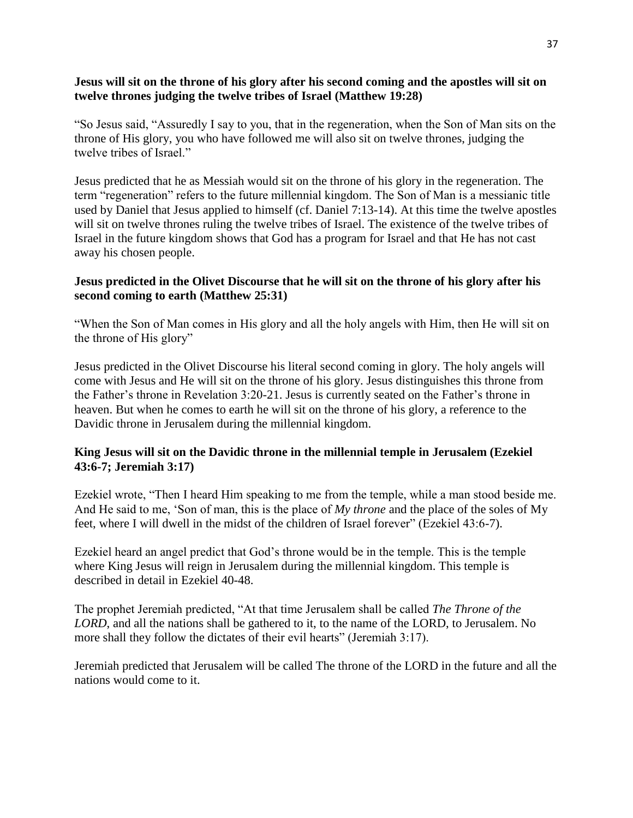#### **Jesus will sit on the throne of his glory after his second coming and the apostles will sit on twelve thrones judging the twelve tribes of Israel (Matthew 19:28)**

"So Jesus said, "Assuredly I say to you, that in the regeneration, when the Son of Man sits on the throne of His glory, you who have followed me will also sit on twelve thrones, judging the twelve tribes of Israel."

Jesus predicted that he as Messiah would sit on the throne of his glory in the regeneration. The term "regeneration" refers to the future millennial kingdom. The Son of Man is a messianic title used by Daniel that Jesus applied to himself (cf. Daniel 7:13-14). At this time the twelve apostles will sit on twelve thrones ruling the twelve tribes of Israel. The existence of the twelve tribes of Israel in the future kingdom shows that God has a program for Israel and that He has not cast away his chosen people.

### **Jesus predicted in the Olivet Discourse that he will sit on the throne of his glory after his second coming to earth (Matthew 25:31)**

"When the Son of Man comes in His glory and all the holy angels with Him, then He will sit on the throne of His glory"

Jesus predicted in the Olivet Discourse his literal second coming in glory. The holy angels will come with Jesus and He will sit on the throne of his glory. Jesus distinguishes this throne from the Father's throne in Revelation 3:20-21. Jesus is currently seated on the Father's throne in heaven. But when he comes to earth he will sit on the throne of his glory, a reference to the Davidic throne in Jerusalem during the millennial kingdom.

# **King Jesus will sit on the Davidic throne in the millennial temple in Jerusalem (Ezekiel 43:6-7; Jeremiah 3:17)**

Ezekiel wrote, "Then I heard Him speaking to me from the temple, while a man stood beside me. And He said to me, 'Son of man, this is the place of *My throne* and the place of the soles of My feet, where I will dwell in the midst of the children of Israel forever" (Ezekiel 43:6-7).

Ezekiel heard an angel predict that God's throne would be in the temple. This is the temple where King Jesus will reign in Jerusalem during the millennial kingdom. This temple is described in detail in Ezekiel 40-48.

The prophet Jeremiah predicted, "At that time Jerusalem shall be called *The Throne of the LORD*, and all the nations shall be gathered to it, to the name of the LORD, to Jerusalem. No more shall they follow the dictates of their evil hearts" (Jeremiah 3:17).

Jeremiah predicted that Jerusalem will be called The throne of the LORD in the future and all the nations would come to it.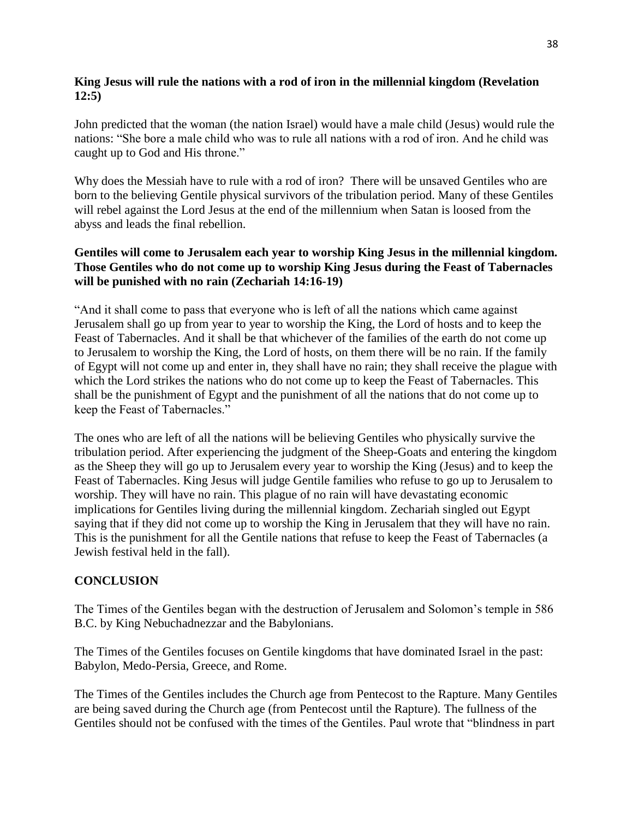### **King Jesus will rule the nations with a rod of iron in the millennial kingdom (Revelation 12:5)**

John predicted that the woman (the nation Israel) would have a male child (Jesus) would rule the nations: "She bore a male child who was to rule all nations with a rod of iron. And he child was caught up to God and His throne."

Why does the Messiah have to rule with a rod of iron? There will be unsaved Gentiles who are born to the believing Gentile physical survivors of the tribulation period. Many of these Gentiles will rebel against the Lord Jesus at the end of the millennium when Satan is loosed from the abyss and leads the final rebellion.

### **Gentiles will come to Jerusalem each year to worship King Jesus in the millennial kingdom. Those Gentiles who do not come up to worship King Jesus during the Feast of Tabernacles will be punished with no rain (Zechariah 14:16-19)**

"And it shall come to pass that everyone who is left of all the nations which came against Jerusalem shall go up from year to year to worship the King, the Lord of hosts and to keep the Feast of Tabernacles. And it shall be that whichever of the families of the earth do not come up to Jerusalem to worship the King, the Lord of hosts, on them there will be no rain. If the family of Egypt will not come up and enter in, they shall have no rain; they shall receive the plague with which the Lord strikes the nations who do not come up to keep the Feast of Tabernacles. This shall be the punishment of Egypt and the punishment of all the nations that do not come up to keep the Feast of Tabernacles."

The ones who are left of all the nations will be believing Gentiles who physically survive the tribulation period. After experiencing the judgment of the Sheep-Goats and entering the kingdom as the Sheep they will go up to Jerusalem every year to worship the King (Jesus) and to keep the Feast of Tabernacles. King Jesus will judge Gentile families who refuse to go up to Jerusalem to worship. They will have no rain. This plague of no rain will have devastating economic implications for Gentiles living during the millennial kingdom. Zechariah singled out Egypt saying that if they did not come up to worship the King in Jerusalem that they will have no rain. This is the punishment for all the Gentile nations that refuse to keep the Feast of Tabernacles (a Jewish festival held in the fall).

# **CONCLUSION**

The Times of the Gentiles began with the destruction of Jerusalem and Solomon's temple in 586 B.C. by King Nebuchadnezzar and the Babylonians.

The Times of the Gentiles focuses on Gentile kingdoms that have dominated Israel in the past: Babylon, Medo-Persia, Greece, and Rome.

The Times of the Gentiles includes the Church age from Pentecost to the Rapture. Many Gentiles are being saved during the Church age (from Pentecost until the Rapture). The fullness of the Gentiles should not be confused with the times of the Gentiles. Paul wrote that "blindness in part